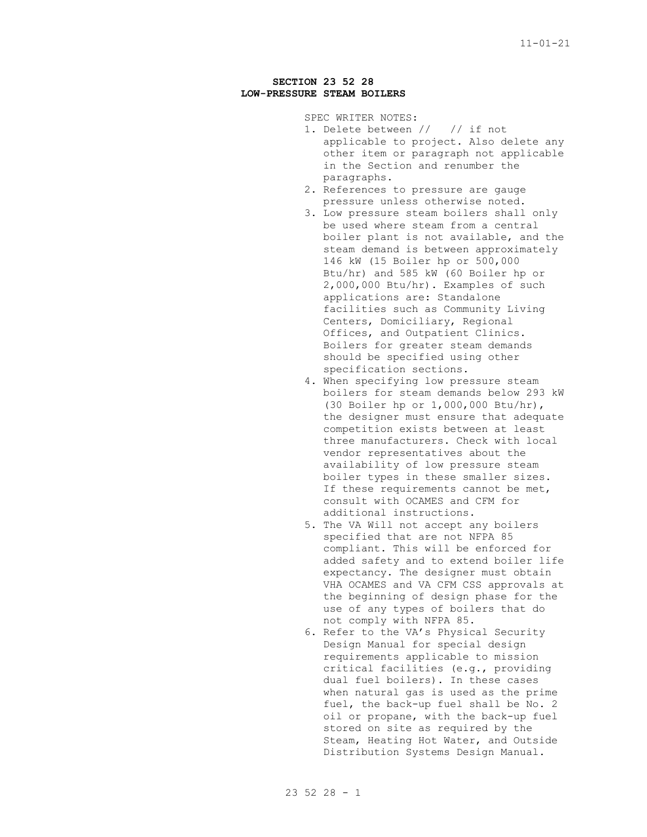## **SECTION 23 52 28 LOW-PRESSURE STEAM BOILERS**

SPEC WRITER NOTES:

- 1. Delete between // // if not applicable to project. Also delete any other item or paragraph not applicable in the Section and renumber the paragraphs.
- 2. References to pressure are gauge pressure unless otherwise noted.
- 3. Low pressure steam boilers shall only be used where steam from a central boiler plant is not available, and the steam demand is between approximately 146 kW (15 Boiler hp or 500,000 Btu/hr) and 585 kW (60 Boiler hp or 2,000,000 Btu/hr). Examples of such applications are: Standalone facilities such as Community Living Centers, Domiciliary, Regional Offices, and Outpatient Clinics. Boilers for greater steam demands should be specified using other specification sections.
- 4. When specifying low pressure steam boilers for steam demands below 293 kW (30 Boiler hp or 1,000,000 Btu/hr), the designer must ensure that adequate competition exists between at least three manufacturers. Check with local vendor representatives about the availability of low pressure steam boiler types in these smaller sizes. If these requirements cannot be met, consult with OCAMES and CFM for additional instructions.
- 5. The VA Will not accept any boilers specified that are not NFPA 85 compliant. This will be enforced for added safety and to extend boiler life expectancy. The designer must obtain VHA OCAMES and VA CFM CSS approvals at the beginning of design phase for the use of any types of boilers that do not comply with NFPA 85.
- 6. Refer to the VA's Physical Security Design Manual for special design requirements applicable to mission critical facilities (e.g., providing dual fuel boilers). In these cases when natural gas is used as the prime fuel, the back-up fuel shall be No. 2 oil or propane, with the back-up fuel stored on site as required by the Steam, Heating Hot Water, and Outside Distribution Systems Design Manual.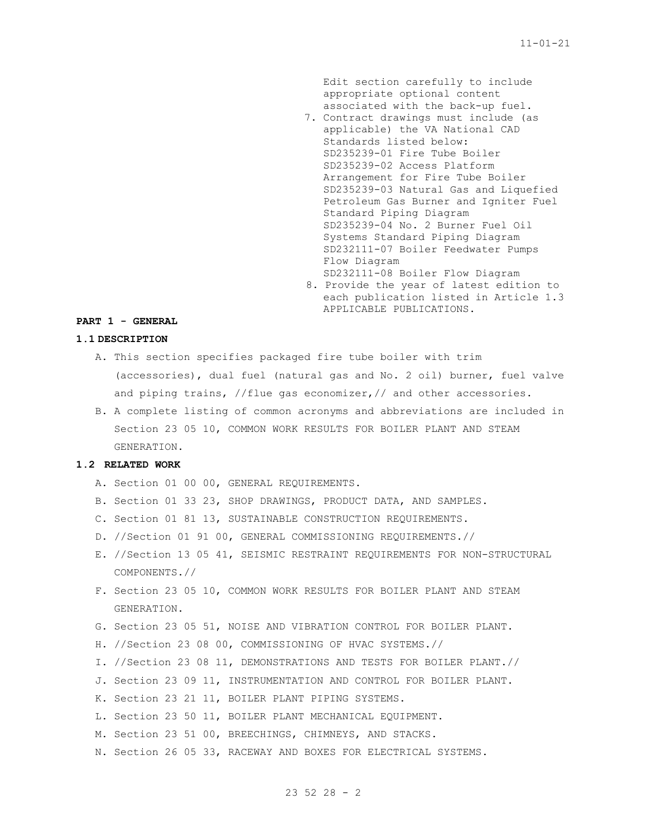Edit section carefully to include appropriate optional content associated with the back-up fuel.

- 7. Contract drawings must include (as applicable) the VA National CAD Standards listed below: SD235239-01 Fire Tube Boiler SD235239-02 Access Platform Arrangement for Fire Tube Boiler SD235239-03 Natural Gas and Liquefied Petroleum Gas Burner and Igniter Fuel Standard Piping Diagram SD235239-04 No. 2 Burner Fuel Oil Systems Standard Piping Diagram SD232111-07 Boiler Feedwater Pumps Flow Diagram SD232111-08 Boiler Flow Diagram
- 8. Provide the year of latest edition to each publication listed in Article 1.3 APPLICABLE PUBLICATIONS.

### **PART 1 - GENERAL**

#### **1.1 DESCRIPTION**

- A. This section specifies packaged fire tube boiler with trim (accessories), dual fuel (natural gas and No. 2 oil) burner, fuel valve and piping trains, //flue gas economizer,// and other accessories.
- B. A complete listing of common acronyms and abbreviations are included in Section 23 05 10, COMMON WORK RESULTS FOR BOILER PLANT AND STEAM GENERATION.

## **1.2 RELATED WORK**

- A. Section 01 00 00, GENERAL REQUIREMENTS.
- B. Section 01 33 23, SHOP DRAWINGS, PRODUCT DATA, AND SAMPLES.
- C. Section 01 81 13, SUSTAINABLE CONSTRUCTION REQUIREMENTS.
- D. //Section 01 91 00, GENERAL COMMISSIONING REQUIREMENTS.//
- E. //Section 13 05 41, SEISMIC RESTRAINT REQUIREMENTS FOR NON-STRUCTURAL COMPONENTS.//
- F. Section 23 05 10, COMMON WORK RESULTS FOR BOILER PLANT AND STEAM GENERATION.
- G. Section 23 05 51, NOISE AND VIBRATION CONTROL FOR BOILER PLANT.
- H. //Section 23 08 00, COMMISSIONING OF HVAC SYSTEMS.//
- I. //Section 23 08 11, DEMONSTRATIONS AND TESTS FOR BOILER PLANT.//
- J. Section 23 09 11, INSTRUMENTATION AND CONTROL FOR BOILER PLANT.
- K. Section 23 21 11, BOILER PLANT PIPING SYSTEMS.
- L. Section 23 50 11, BOILER PLANT MECHANICAL EQUIPMENT.
- M. Section 23 51 00, BREECHINGS, CHIMNEYS, AND STACKS.
- N. Section 26 05 33, RACEWAY AND BOXES FOR ELECTRICAL SYSTEMS.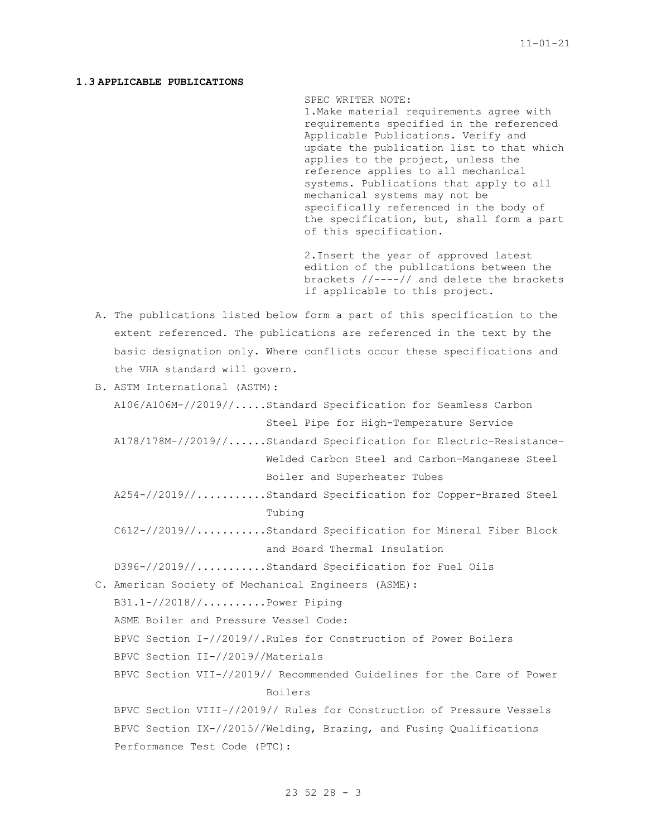## **1.3 APPLICABLE PUBLICATIONS**

SPEC WRITER NOTE:

1.Make material requirements agree with requirements specified in the referenced Applicable Publications. Verify and update the publication list to that which applies to the project, unless the reference applies to all mechanical systems. Publications that apply to all mechanical systems may not be specifically referenced in the body of the specification, but, shall form a part of this specification.

2.Insert the year of approved latest edition of the publications between the brackets //----// and delete the brackets if applicable to this project.

- A. The publications listed below form a part of this specification to the extent referenced. The publications are referenced in the text by the basic designation only. Where conflicts occur these specifications and the VHA standard will govern.
- B. ASTM International (ASTM):

A106/A106M-//2019//.....Standard Specification for Seamless Carbon Steel Pipe for High-Temperature Service

- A178/178M-//2019//......Standard Specification for Electric-Resistance-Welded Carbon Steel and Carbon-Manganese Steel Boiler and Superheater Tubes
- A254-//2019//...........Standard Specification for Copper-Brazed Steel Tubing

C612-//2019//...........Standard Specification for Mineral Fiber Block and Board Thermal Insulation

D396-//2019//...........Standard Specification for Fuel Oils

C. American Society of Mechanical Engineers (ASME):

B31.1-//2018//..........Power Piping

ASME Boiler and Pressure Vessel Code:

- BPVC Section I-//2019//.Rules for Construction of Power Boilers
- BPVC Section II-//2019//Materials

BPVC Section VII-//2019// Recommended Guidelines for the Care of Power Boilers

BPVC Section VIII-//2019// Rules for Construction of Pressure Vessels BPVC Section IX-//2015//Welding, Brazing, and Fusing Qualifications Performance Test Code (PTC):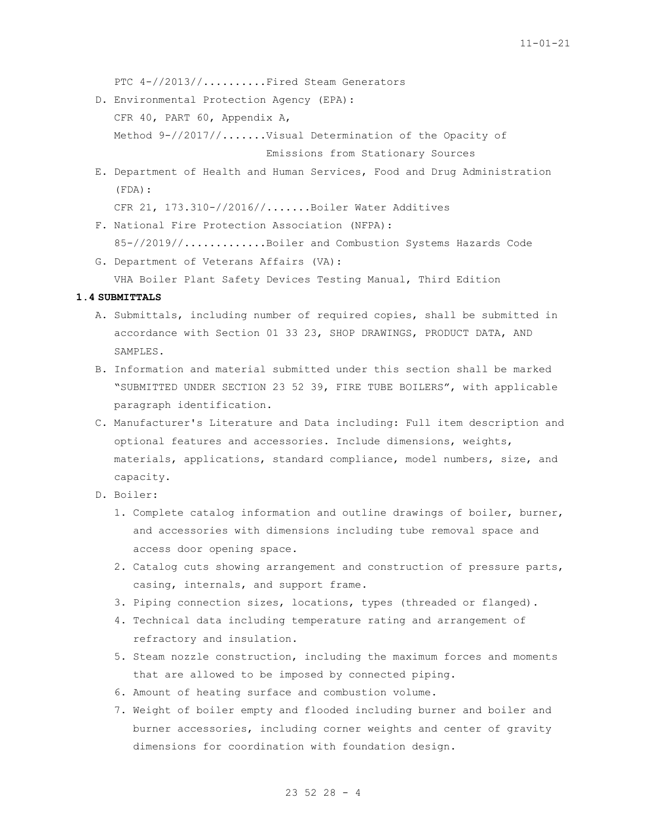PTC 4-//2013//.........Fired Steam Generators

D. Environmental Protection Agency (EPA): CFR 40, PART 60, Appendix A, Method 9-//2017//.......Visual Determination of the Opacity of

Emissions from Stationary Sources

E. Department of Health and Human Services, Food and Drug Administration (FDA):

CFR 21, 173.310-//2016//.......Boiler Water Additives

- F. National Fire Protection Association (NFPA): 85-//2019//.............Boiler and Combustion Systems Hazards Code
- G. Department of Veterans Affairs (VA): VHA Boiler Plant Safety Devices Testing Manual, Third Edition

# **1.4 SUBMITTALS**

- A. Submittals, including number of required copies, shall be submitted in accordance with Section 01 33 23, SHOP DRAWINGS, PRODUCT DATA, AND SAMPLES.
- B. Information and material submitted under this section shall be marked "SUBMITTED UNDER SECTION 23 52 39, FIRE TUBE BOILERS", with applicable paragraph identification.
- C. Manufacturer's Literature and Data including: Full item description and optional features and accessories. Include dimensions, weights, materials, applications, standard compliance, model numbers, size, and capacity.
- D. Boiler:
	- 1. Complete catalog information and outline drawings of boiler, burner, and accessories with dimensions including tube removal space and access door opening space.
	- 2. Catalog cuts showing arrangement and construction of pressure parts, casing, internals, and support frame.
	- 3. Piping connection sizes, locations, types (threaded or flanged).
	- 4. Technical data including temperature rating and arrangement of refractory and insulation.
	- 5. Steam nozzle construction, including the maximum forces and moments that are allowed to be imposed by connected piping.
	- 6. Amount of heating surface and combustion volume.
	- 7. Weight of boiler empty and flooded including burner and boiler and burner accessories, including corner weights and center of gravity dimensions for coordination with foundation design.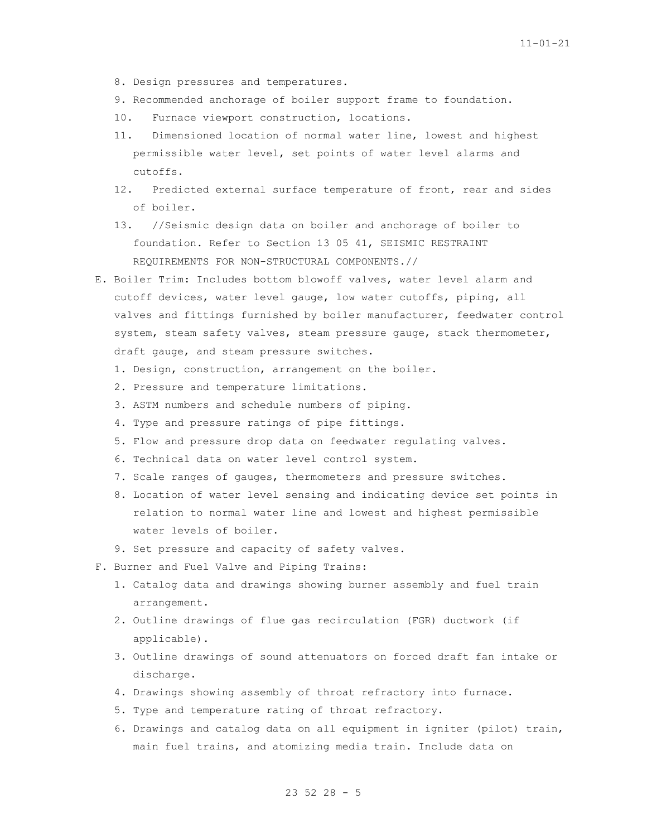- 8. Design pressures and temperatures.
- 9. Recommended anchorage of boiler support frame to foundation.
- 10. Furnace viewport construction, locations.
- 11. Dimensioned location of normal water line, lowest and highest permissible water level, set points of water level alarms and cutoffs.
- 12. Predicted external surface temperature of front, rear and sides of boiler.
- 13. //Seismic design data on boiler and anchorage of boiler to foundation. Refer to Section 13 05 41, SEISMIC RESTRAINT REQUIREMENTS FOR NON-STRUCTURAL COMPONENTS.//
- E. Boiler Trim: Includes bottom blowoff valves, water level alarm and cutoff devices, water level gauge, low water cutoffs, piping, all valves and fittings furnished by boiler manufacturer, feedwater control system, steam safety valves, steam pressure gauge, stack thermometer, draft gauge, and steam pressure switches.
	- 1. Design, construction, arrangement on the boiler.
	- 2. Pressure and temperature limitations.
	- 3. ASTM numbers and schedule numbers of piping.
	- 4. Type and pressure ratings of pipe fittings.
	- 5. Flow and pressure drop data on feedwater regulating valves.
	- 6. Technical data on water level control system.
	- 7. Scale ranges of gauges, thermometers and pressure switches.
	- 8. Location of water level sensing and indicating device set points in relation to normal water line and lowest and highest permissible water levels of boiler.
	- 9. Set pressure and capacity of safety valves.
- F. Burner and Fuel Valve and Piping Trains:
	- 1. Catalog data and drawings showing burner assembly and fuel train arrangement.
	- 2. Outline drawings of flue gas recirculation (FGR) ductwork (if applicable).
	- 3. Outline drawings of sound attenuators on forced draft fan intake or discharge.
	- 4. Drawings showing assembly of throat refractory into furnace.
	- 5. Type and temperature rating of throat refractory.
	- 6. Drawings and catalog data on all equipment in igniter (pilot) train, main fuel trains, and atomizing media train. Include data on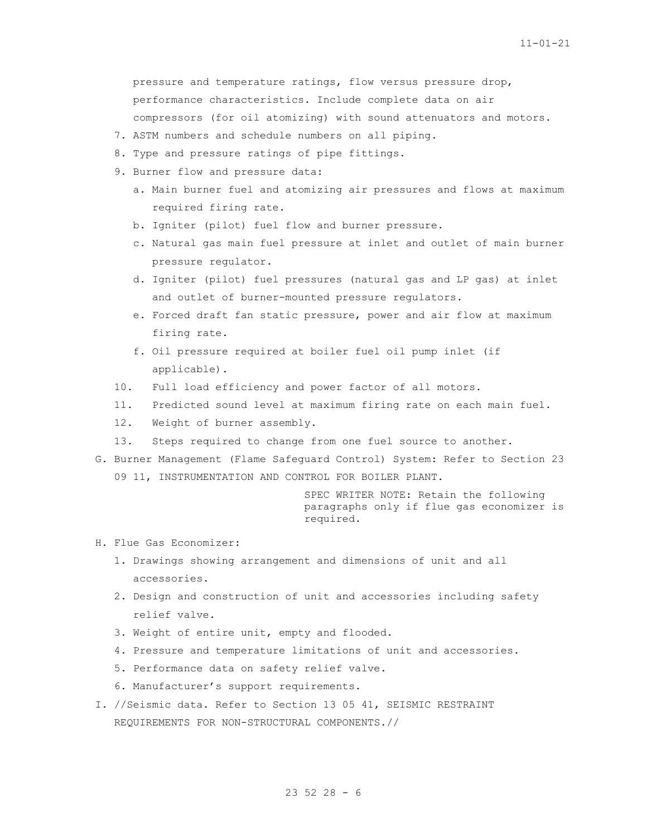pressure and temperature ratings, flow versus pressure drop, performance characteristics. Include complete data on air compressors (for oil atomizing) with sound attenuators and motors.

- 7. ASTM numbers and schedule numbers on all piping.
- 8. Type and pressure ratings of pipe fittings.
- 9. Burner flow and pressure data:
	- a. Main burner fuel and atomizing air pressures and flows at maximum required firing rate.
	- b. Igniter (pilot) fuel flow and burner pressure.
	- c. Natural gas main fuel pressure at inlet and outlet of main burner pressure regulator.
	- d. Igniter (pilot) fuel pressures (natural gas and LP gas) at inlet and outlet of burner-mounted pressure regulators.
	- e. Forced draft fan static pressure, power and air flow at maximum firing rate.
	- f. Oil pressure required at boiler fuel oil pump inlet (if applicable).
- 10. Full load efficiency and power factor of all motors.
- 11. Predicted sound level at maximum firing rate on each main fuel.
- 12. Weight of burner assembly.
- 13. Steps required to change from one fuel source to another.
- G. Burner Management (Flame Safeguard Control) System: Refer to Section 23 09 11, INSTRUMENTATION AND CONTROL FOR BOILER PLANT.

SPEC WRITER NOTE: Retain the following paragraphs only if flue gas economizer is required.

- H. Flue Gas Economizer:
	- 1. Drawings showing arrangement and dimensions of unit and all accessories.
	- 2. Design and construction of unit and accessories including safety relief valve.
	- 3. Weight of entire unit, empty and flooded.
	- 4. Pressure and temperature limitations of unit and accessories.
	- 5. Performance data on safety relief valve.
	- 6. Manufacturer's support requirements.
- I. //Seismic data. Refer to Section 13 05 41, SEISMIC RESTRAINT REQUIREMENTS FOR NON-STRUCTURAL COMPONENTS.//

# 23 52 28 - 6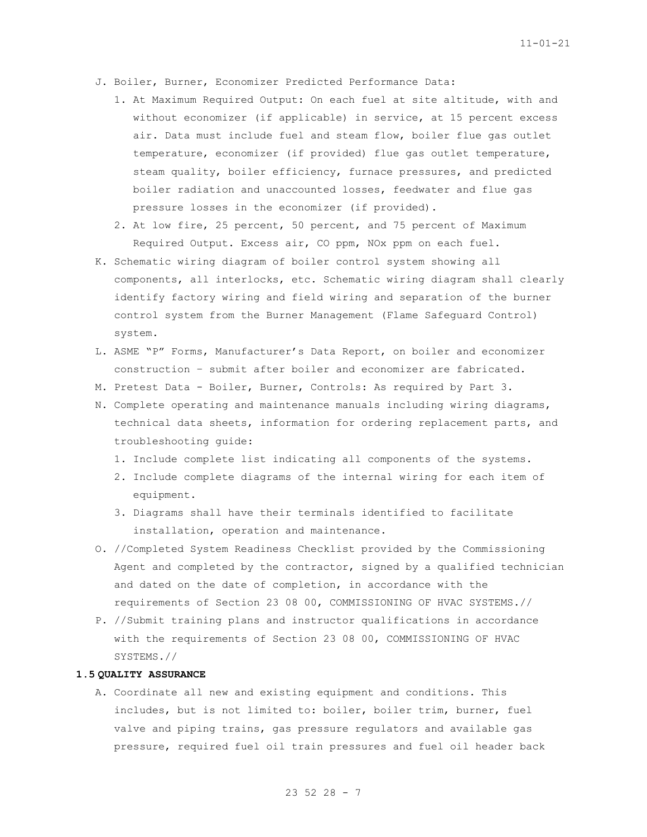- J. Boiler, Burner, Economizer Predicted Performance Data:
	- 1. At Maximum Required Output: On each fuel at site altitude, with and without economizer (if applicable) in service, at 15 percent excess air. Data must include fuel and steam flow, boiler flue gas outlet temperature, economizer (if provided) flue gas outlet temperature, steam quality, boiler efficiency, furnace pressures, and predicted boiler radiation and unaccounted losses, feedwater and flue gas pressure losses in the economizer (if provided).
	- 2. At low fire, 25 percent, 50 percent, and 75 percent of Maximum Required Output. Excess air, CO ppm, NOx ppm on each fuel.
- K. Schematic wiring diagram of boiler control system showing all components, all interlocks, etc. Schematic wiring diagram shall clearly identify factory wiring and field wiring and separation of the burner control system from the Burner Management (Flame Safeguard Control) system.
- L. ASME "P" Forms, Manufacturer's Data Report, on boiler and economizer construction – submit after boiler and economizer are fabricated.
- M. Pretest Data Boiler, Burner, Controls: As required by Part 3.
- N. Complete operating and maintenance manuals including wiring diagrams, technical data sheets, information for ordering replacement parts, and troubleshooting guide:
	- 1. Include complete list indicating all components of the systems.
	- 2. Include complete diagrams of the internal wiring for each item of equipment.
	- 3. Diagrams shall have their terminals identified to facilitate installation, operation and maintenance.
- O. //Completed System Readiness Checklist provided by the Commissioning Agent and completed by the contractor, signed by a qualified technician and dated on the date of completion, in accordance with the requirements of Section 23 08 00, COMMISSIONING OF HVAC SYSTEMS.//
- P. //Submit training plans and instructor qualifications in accordance with the requirements of Section 23 08 00, COMMISSIONING OF HVAC SYSTEMS.//

# **1.5 QUALITY ASSURANCE**

A. Coordinate all new and existing equipment and conditions. This includes, but is not limited to: boiler, boiler trim, burner, fuel valve and piping trains, gas pressure regulators and available gas pressure, required fuel oil train pressures and fuel oil header back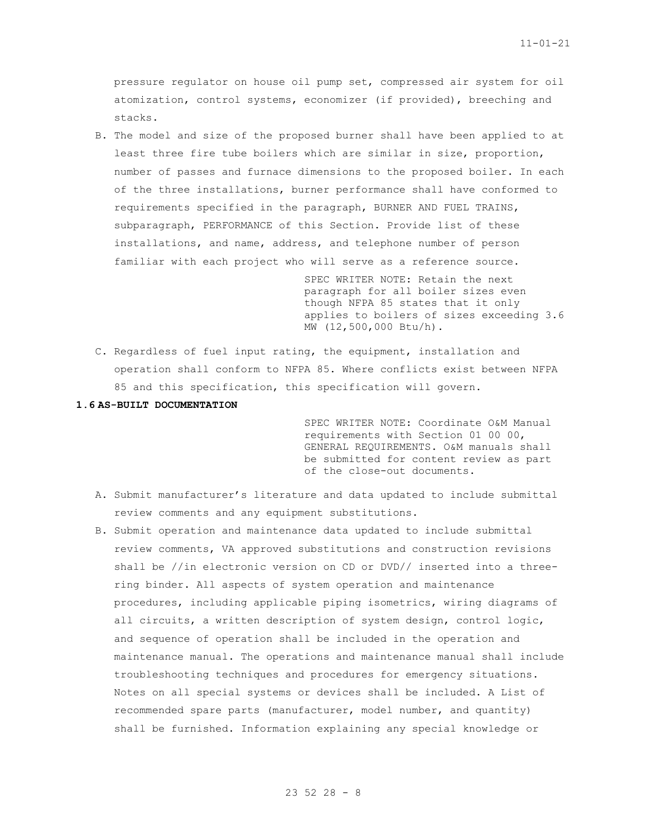pressure regulator on house oil pump set, compressed air system for oil atomization, control systems, economizer (if provided), breeching and stacks.

B. The model and size of the proposed burner shall have been applied to at least three fire tube boilers which are similar in size, proportion, number of passes and furnace dimensions to the proposed boiler. In each of the three installations, burner performance shall have conformed to requirements specified in the paragraph, BURNER AND FUEL TRAINS, subparagraph, PERFORMANCE of this Section. Provide list of these installations, and name, address, and telephone number of person familiar with each project who will serve as a reference source.

> SPEC WRITER NOTE: Retain the next paragraph for all boiler sizes even though NFPA 85 states that it only applies to boilers of sizes exceeding 3.6 MW (12,500,000 Btu/h).

C. Regardless of fuel input rating, the equipment, installation and operation shall conform to NFPA 85. Where conflicts exist between NFPA 85 and this specification, this specification will govern.

### **1.6 AS-BUILT DOCUMENTATION**

SPEC WRITER NOTE: Coordinate O&M Manual requirements with Section 01 00 00, GENERAL REQUIREMENTS. O&M manuals shall be submitted for content review as part of the close-out documents.

- A. Submit manufacturer's literature and data updated to include submittal review comments and any equipment substitutions.
- B. Submit operation and maintenance data updated to include submittal review comments, VA approved substitutions and construction revisions shall be //in electronic version on CD or DVD// inserted into a threering binder. All aspects of system operation and maintenance procedures, including applicable piping isometrics, wiring diagrams of all circuits, a written description of system design, control logic, and sequence of operation shall be included in the operation and maintenance manual. The operations and maintenance manual shall include troubleshooting techniques and procedures for emergency situations. Notes on all special systems or devices shall be included. A List of recommended spare parts (manufacturer, model number, and quantity) shall be furnished. Information explaining any special knowledge or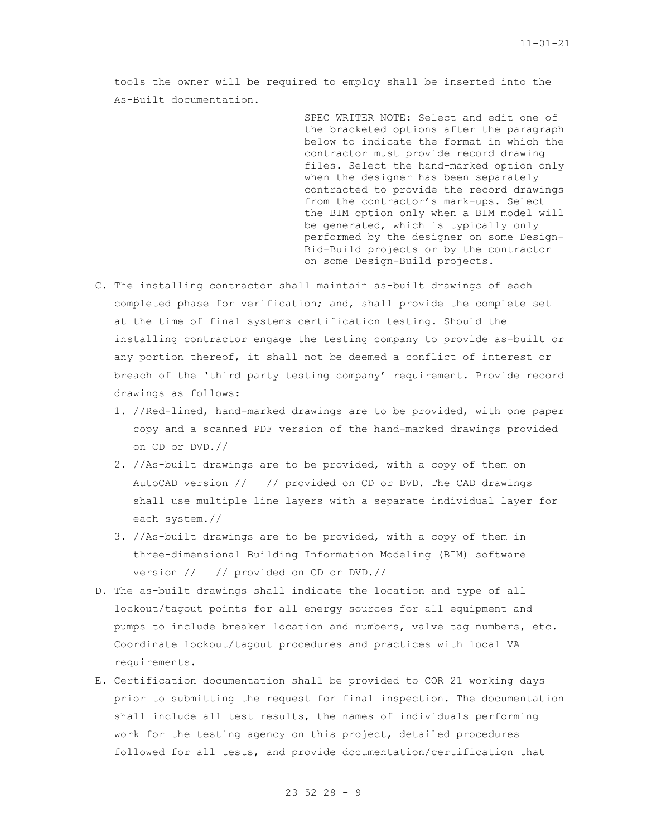tools the owner will be required to employ shall be inserted into the As-Built documentation.

> SPEC WRITER NOTE: Select and edit one of the bracketed options after the paragraph below to indicate the format in which the contractor must provide record drawing files. Select the hand-marked option only when the designer has been separately contracted to provide the record drawings from the contractor's mark-ups. Select the BIM option only when a BIM model will be generated, which is typically only performed by the designer on some Design-Bid-Build projects or by the contractor on some Design-Build projects.

- C. The installing contractor shall maintain as-built drawings of each completed phase for verification; and, shall provide the complete set at the time of final systems certification testing. Should the installing contractor engage the testing company to provide as-built or any portion thereof, it shall not be deemed a conflict of interest or breach of the 'third party testing company' requirement. Provide record drawings as follows:
	- 1. //Red-lined, hand-marked drawings are to be provided, with one paper copy and a scanned PDF version of the hand-marked drawings provided on CD or DVD.//
	- 2. //As-built drawings are to be provided, with a copy of them on AutoCAD version // // provided on CD or DVD. The CAD drawings shall use multiple line layers with a separate individual layer for each system.//
	- 3. //As-built drawings are to be provided, with a copy of them in three-dimensional Building Information Modeling (BIM) software version // // provided on CD or DVD.//
- D. The as-built drawings shall indicate the location and type of all lockout/tagout points for all energy sources for all equipment and pumps to include breaker location and numbers, valve tag numbers, etc. Coordinate lockout/tagout procedures and practices with local VA requirements.
- E. Certification documentation shall be provided to COR 21 working days prior to submitting the request for final inspection. The documentation shall include all test results, the names of individuals performing work for the testing agency on this project, detailed procedures followed for all tests, and provide documentation/certification that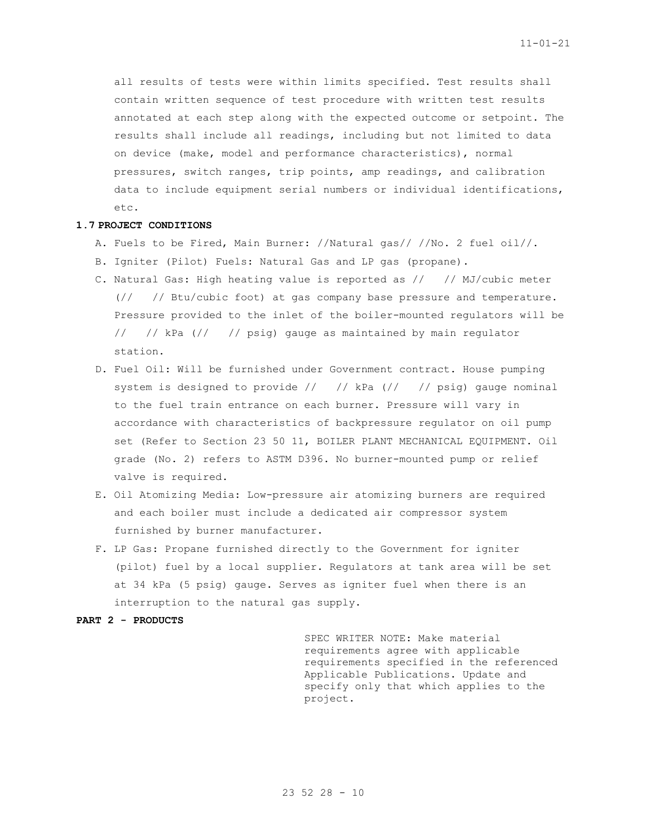all results of tests were within limits specified. Test results shall contain written sequence of test procedure with written test results annotated at each step along with the expected outcome or setpoint. The results shall include all readings, including but not limited to data on device (make, model and performance characteristics), normal pressures, switch ranges, trip points, amp readings, and calibration data to include equipment serial numbers or individual identifications, etc.

### **1.7 PROJECT CONDITIONS**

- A. Fuels to be Fired, Main Burner: //Natural gas// //No. 2 fuel oil//.
- B. Igniter (Pilot) Fuels: Natural Gas and LP gas (propane).
- C. Natural Gas: High heating value is reported as // // MJ/cubic meter (// // Btu/cubic foot) at gas company base pressure and temperature. Pressure provided to the inlet of the boiler-mounted regulators will be // // kPa (// // psig) gauge as maintained by main regulator station.
- D. Fuel Oil: Will be furnished under Government contract. House pumping system is designed to provide // // kPa (// // psig) gauge nominal to the fuel train entrance on each burner. Pressure will vary in accordance with characteristics of backpressure regulator on oil pump set (Refer to Section 23 50 11, BOILER PLANT MECHANICAL EQUIPMENT. Oil grade (No. 2) refers to ASTM D396. No burner-mounted pump or relief valve is required.
- E. Oil Atomizing Media: Low-pressure air atomizing burners are required and each boiler must include a dedicated air compressor system furnished by burner manufacturer.
- F. LP Gas: Propane furnished directly to the Government for igniter (pilot) fuel by a local supplier. Regulators at tank area will be set at 34 kPa (5 psig) gauge. Serves as igniter fuel when there is an interruption to the natural gas supply.

### **PART 2 - PRODUCTS**

SPEC WRITER NOTE: Make material requirements agree with applicable requirements specified in the referenced Applicable Publications. Update and specify only that which applies to the project.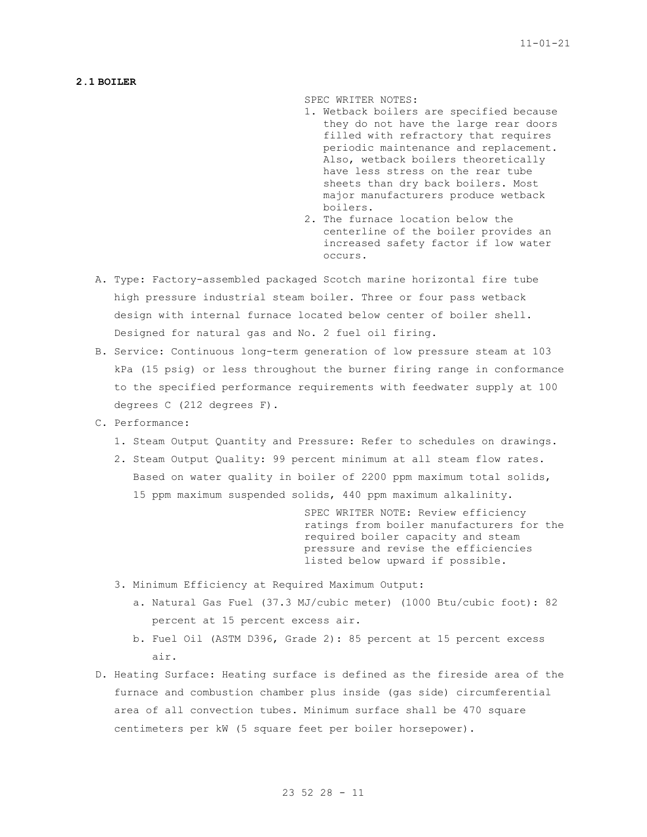### **2.1 BOILER**

SPEC WRITER NOTES:

- 1. Wetback boilers are specified because they do not have the large rear doors filled with refractory that requires periodic maintenance and replacement. Also, wetback boilers theoretically have less stress on the rear tube sheets than dry back boilers. Most major manufacturers produce wetback boilers.
- 2. The furnace location below the centerline of the boiler provides an increased safety factor if low water occurs.
- A. Type: Factory-assembled packaged Scotch marine horizontal fire tube high pressure industrial steam boiler. Three or four pass wetback design with internal furnace located below center of boiler shell. Designed for natural gas and No. 2 fuel oil firing.
- B. Service: Continuous long-term generation of low pressure steam at 103 kPa (15 psig) or less throughout the burner firing range in conformance to the specified performance requirements with feedwater supply at 100 degrees C (212 degrees F).
- C. Performance:
	- 1. Steam Output Quantity and Pressure: Refer to schedules on drawings.
	- 2. Steam Output Quality: 99 percent minimum at all steam flow rates. Based on water quality in boiler of 2200 ppm maximum total solids, 15 ppm maximum suspended solids, 440 ppm maximum alkalinity.

SPEC WRITER NOTE: Review efficiency ratings from boiler manufacturers for the required boiler capacity and steam pressure and revise the efficiencies listed below upward if possible.

- 3. Minimum Efficiency at Required Maximum Output:
	- a. Natural Gas Fuel (37.3 MJ/cubic meter) (1000 Btu/cubic foot): 82 percent at 15 percent excess air.
	- b. Fuel Oil (ASTM D396, Grade 2): 85 percent at 15 percent excess air.
- D. Heating Surface: Heating surface is defined as the fireside area of the furnace and combustion chamber plus inside (gas side) circumferential area of all convection tubes. Minimum surface shall be 470 square centimeters per kW (5 square feet per boiler horsepower).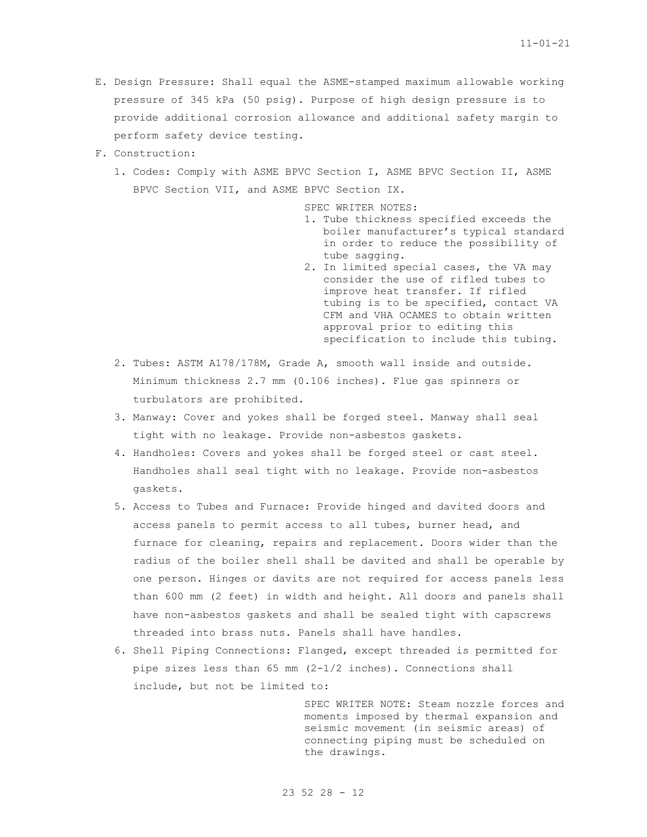- E. Design Pressure: Shall equal the ASME-stamped maximum allowable working pressure of 345 kPa (50 psig). Purpose of high design pressure is to provide additional corrosion allowance and additional safety margin to perform safety device testing.
- F. Construction:
	- 1. Codes: Comply with ASME BPVC Section I, ASME BPVC Section II, ASME BPVC Section VII, and ASME BPVC Section IX.

SPEC WRITER NOTES:

- 1. Tube thickness specified exceeds the boiler manufacturer's typical standard in order to reduce the possibility of tube sagging.
- 2. In limited special cases, the VA may consider the use of rifled tubes to improve heat transfer. If rifled tubing is to be specified, contact VA CFM and VHA OCAMES to obtain written approval prior to editing this specification to include this tubing.
- 2. Tubes: ASTM A178/178M, Grade A, smooth wall inside and outside. Minimum thickness 2.7 mm (0.106 inches). Flue gas spinners or turbulators are prohibited.
- 3. Manway: Cover and yokes shall be forged steel. Manway shall seal tight with no leakage. Provide non-asbestos gaskets.
- 4. Handholes: Covers and yokes shall be forged steel or cast steel. Handholes shall seal tight with no leakage. Provide non-asbestos gaskets.
- 5. Access to Tubes and Furnace: Provide hinged and davited doors and access panels to permit access to all tubes, burner head, and furnace for cleaning, repairs and replacement. Doors wider than the radius of the boiler shell shall be davited and shall be operable by one person. Hinges or davits are not required for access panels less than 600 mm (2 feet) in width and height. All doors and panels shall have non-asbestos gaskets and shall be sealed tight with capscrews threaded into brass nuts. Panels shall have handles.
- 6. Shell Piping Connections: Flanged, except threaded is permitted for pipe sizes less than 65 mm (2-1/2 inches). Connections shall include, but not be limited to:

SPEC WRITER NOTE: Steam nozzle forces and moments imposed by thermal expansion and seismic movement (in seismic areas) of connecting piping must be scheduled on the drawings.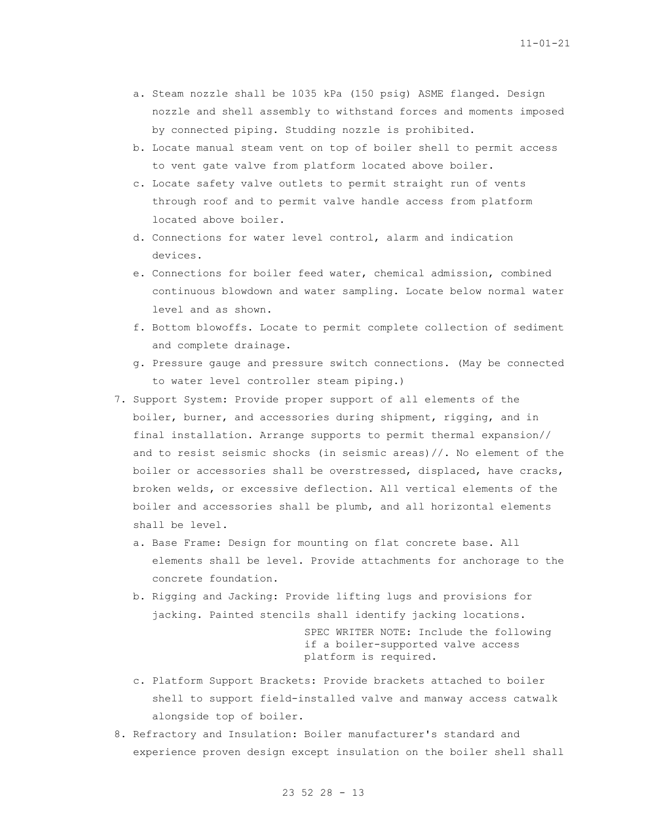- a. Steam nozzle shall be 1035 kPa (150 psig) ASME flanged. Design nozzle and shell assembly to withstand forces and moments imposed by connected piping. Studding nozzle is prohibited.
- b. Locate manual steam vent on top of boiler shell to permit access to vent gate valve from platform located above boiler.
- c. Locate safety valve outlets to permit straight run of vents through roof and to permit valve handle access from platform located above boiler.
- d. Connections for water level control, alarm and indication devices.
- e. Connections for boiler feed water, chemical admission, combined continuous blowdown and water sampling. Locate below normal water level and as shown.
- f. Bottom blowoffs. Locate to permit complete collection of sediment and complete drainage.
- g. Pressure gauge and pressure switch connections. (May be connected to water level controller steam piping.)
- 7. Support System: Provide proper support of all elements of the boiler, burner, and accessories during shipment, rigging, and in final installation. Arrange supports to permit thermal expansion// and to resist seismic shocks (in seismic areas)//. No element of the boiler or accessories shall be overstressed, displaced, have cracks, broken welds, or excessive deflection. All vertical elements of the boiler and accessories shall be plumb, and all horizontal elements shall be level.
	- a. Base Frame: Design for mounting on flat concrete base. All elements shall be level. Provide attachments for anchorage to the concrete foundation.
	- b. Rigging and Jacking: Provide lifting lugs and provisions for jacking. Painted stencils shall identify jacking locations.

SPEC WRITER NOTE: Include the following if a boiler-supported valve access platform is required.

- c. Platform Support Brackets: Provide brackets attached to boiler shell to support field-installed valve and manway access catwalk alongside top of boiler.
- 8. Refractory and Insulation: Boiler manufacturer's standard and experience proven design except insulation on the boiler shell shall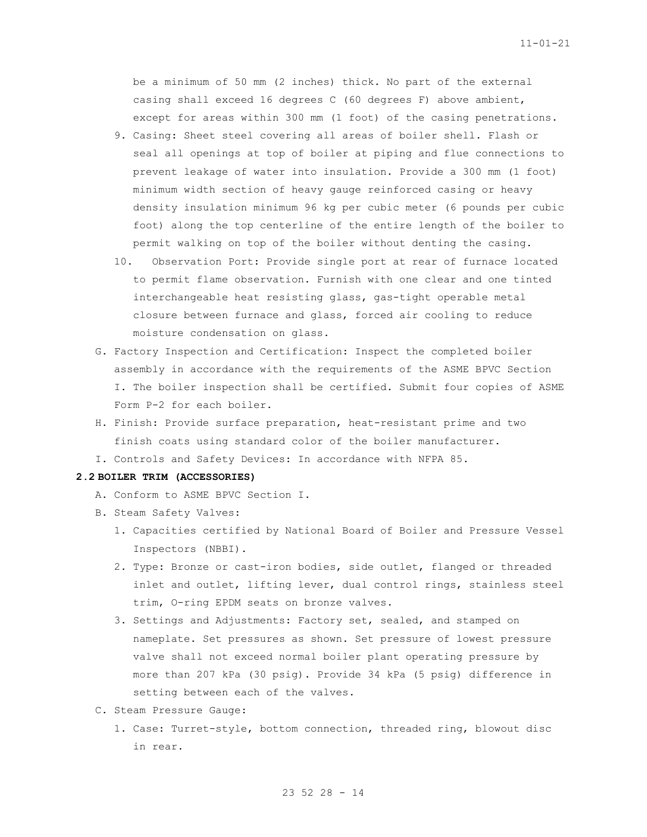be a minimum of 50 mm (2 inches) thick. No part of the external casing shall exceed 16 degrees C (60 degrees F) above ambient, except for areas within 300 mm (1 foot) of the casing penetrations.

- 9. Casing: Sheet steel covering all areas of boiler shell. Flash or seal all openings at top of boiler at piping and flue connections to prevent leakage of water into insulation. Provide a 300 mm (1 foot) minimum width section of heavy gauge reinforced casing or heavy density insulation minimum 96 kg per cubic meter (6 pounds per cubic foot) along the top centerline of the entire length of the boiler to permit walking on top of the boiler without denting the casing.
- 10. Observation Port: Provide single port at rear of furnace located to permit flame observation. Furnish with one clear and one tinted interchangeable heat resisting glass, gas-tight operable metal closure between furnace and glass, forced air cooling to reduce moisture condensation on glass.
- G. Factory Inspection and Certification: Inspect the completed boiler assembly in accordance with the requirements of the ASME BPVC Section I. The boiler inspection shall be certified. Submit four copies of ASME Form P-2 for each boiler.
- H. Finish: Provide surface preparation, heat-resistant prime and two finish coats using standard color of the boiler manufacturer.
- I. Controls and Safety Devices: In accordance with NFPA 85.

### **2.2 BOILER TRIM (ACCESSORIES)**

- A. Conform to ASME BPVC Section I.
- B. Steam Safety Valves:
	- 1. Capacities certified by National Board of Boiler and Pressure Vessel Inspectors (NBBI).
	- 2. Type: Bronze or cast-iron bodies, side outlet, flanged or threaded inlet and outlet, lifting lever, dual control rings, stainless steel trim, O-ring EPDM seats on bronze valves.
	- 3. Settings and Adjustments: Factory set, sealed, and stamped on nameplate. Set pressures as shown. Set pressure of lowest pressure valve shall not exceed normal boiler plant operating pressure by more than 207 kPa (30 psig). Provide 34 kPa (5 psig) difference in setting between each of the valves.
- C. Steam Pressure Gauge:
	- 1. Case: Turret-style, bottom connection, threaded ring, blowout disc in rear.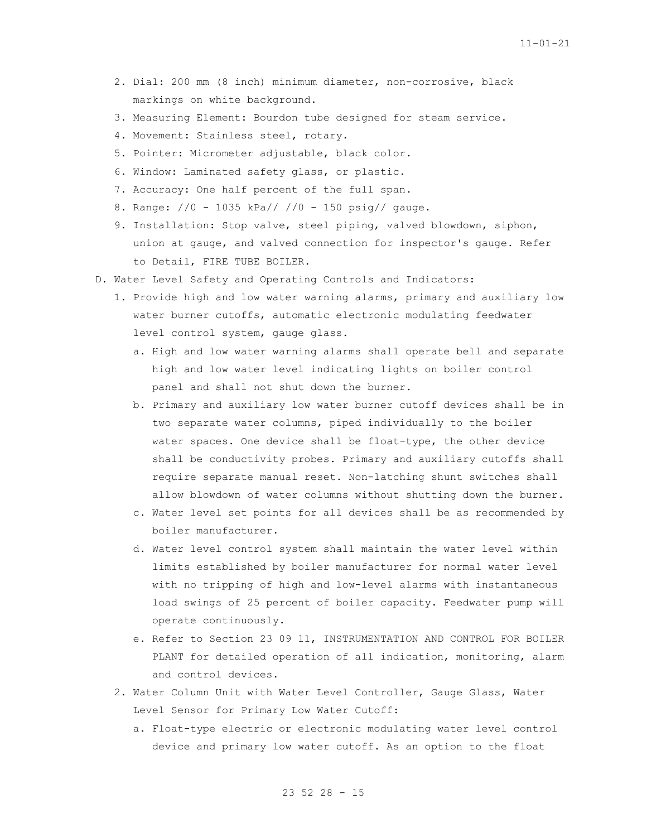- 2. Dial: 200 mm (8 inch) minimum diameter, non-corrosive, black markings on white background.
- 3. Measuring Element: Bourdon tube designed for steam service.
- 4. Movement: Stainless steel, rotary.
- 5. Pointer: Micrometer adjustable, black color.
- 6. Window: Laminated safety glass, or plastic.
- 7. Accuracy: One half percent of the full span.
- 8. Range: //0 1035 kPa// //0 150 psig// gauge.
- 9. Installation: Stop valve, steel piping, valved blowdown, siphon, union at gauge, and valved connection for inspector's gauge. Refer to Detail, FIRE TUBE BOILER.
- D. Water Level Safety and Operating Controls and Indicators:
	- 1. Provide high and low water warning alarms, primary and auxiliary low water burner cutoffs, automatic electronic modulating feedwater level control system, gauge glass.
		- a. High and low water warning alarms shall operate bell and separate high and low water level indicating lights on boiler control panel and shall not shut down the burner.
		- b. Primary and auxiliary low water burner cutoff devices shall be in two separate water columns, piped individually to the boiler water spaces. One device shall be float-type, the other device shall be conductivity probes. Primary and auxiliary cutoffs shall require separate manual reset. Non-latching shunt switches shall allow blowdown of water columns without shutting down the burner.
		- c. Water level set points for all devices shall be as recommended by boiler manufacturer.
		- d. Water level control system shall maintain the water level within limits established by boiler manufacturer for normal water level with no tripping of high and low-level alarms with instantaneous load swings of 25 percent of boiler capacity. Feedwater pump will operate continuously.
		- e. Refer to Section 23 09 11, INSTRUMENTATION AND CONTROL FOR BOILER PLANT for detailed operation of all indication, monitoring, alarm and control devices.
	- 2. Water Column Unit with Water Level Controller, Gauge Glass, Water Level Sensor for Primary Low Water Cutoff:
		- a. Float-type electric or electronic modulating water level control device and primary low water cutoff. As an option to the float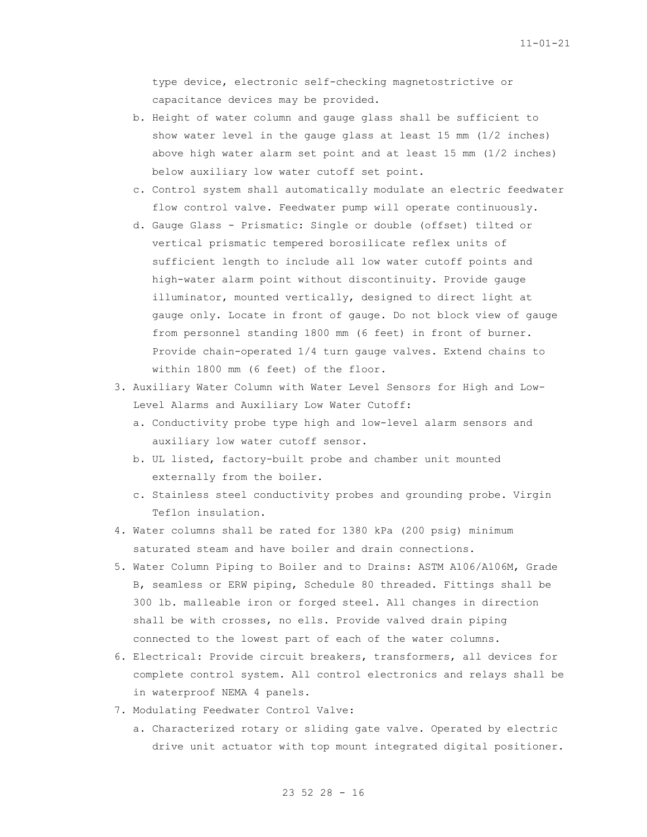type device, electronic self-checking magnetostrictive or capacitance devices may be provided.

- b. Height of water column and gauge glass shall be sufficient to show water level in the gauge glass at least 15 mm (1/2 inches) above high water alarm set point and at least 15 mm (1/2 inches) below auxiliary low water cutoff set point.
- c. Control system shall automatically modulate an electric feedwater flow control valve. Feedwater pump will operate continuously.
- d. Gauge Glass Prismatic: Single or double (offset) tilted or vertical prismatic tempered borosilicate reflex units of sufficient length to include all low water cutoff points and high-water alarm point without discontinuity. Provide gauge illuminator, mounted vertically, designed to direct light at gauge only. Locate in front of gauge. Do not block view of gauge from personnel standing 1800 mm (6 feet) in front of burner. Provide chain-operated 1/4 turn gauge valves. Extend chains to within 1800 mm (6 feet) of the floor.
- 3. Auxiliary Water Column with Water Level Sensors for High and Low-Level Alarms and Auxiliary Low Water Cutoff:
	- a. Conductivity probe type high and low-level alarm sensors and auxiliary low water cutoff sensor.
	- b. UL listed, factory-built probe and chamber unit mounted externally from the boiler.
	- c. Stainless steel conductivity probes and grounding probe. Virgin Teflon insulation.
- 4. Water columns shall be rated for 1380 kPa (200 psig) minimum saturated steam and have boiler and drain connections.
- 5. Water Column Piping to Boiler and to Drains: ASTM A106/A106M, Grade B, seamless or ERW piping, Schedule 80 threaded. Fittings shall be 300 lb. malleable iron or forged steel. All changes in direction shall be with crosses, no ells. Provide valved drain piping connected to the lowest part of each of the water columns.
- 6. Electrical: Provide circuit breakers, transformers, all devices for complete control system. All control electronics and relays shall be in waterproof NEMA 4 panels.
- 7. Modulating Feedwater Control Valve:
	- a. Characterized rotary or sliding gate valve. Operated by electric drive unit actuator with top mount integrated digital positioner.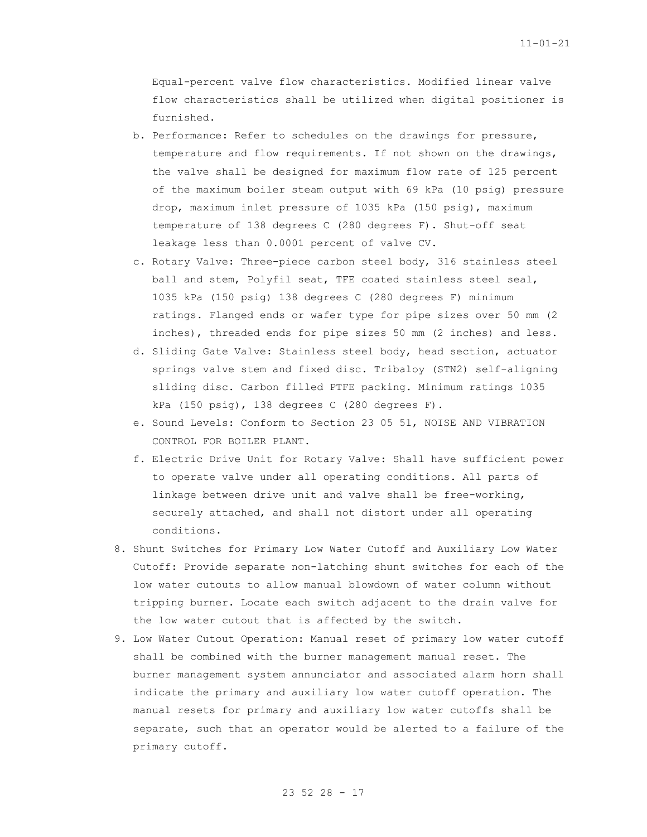Equal-percent valve flow characteristics. Modified linear valve flow characteristics shall be utilized when digital positioner is furnished.

- b. Performance: Refer to schedules on the drawings for pressure, temperature and flow requirements. If not shown on the drawings, the valve shall be designed for maximum flow rate of 125 percent of the maximum boiler steam output with 69 kPa (10 psig) pressure drop, maximum inlet pressure of 1035 kPa (150 psig), maximum temperature of 138 degrees C (280 degrees F). Shut-off seat leakage less than 0.0001 percent of valve CV.
- c. Rotary Valve: Three-piece carbon steel body, 316 stainless steel ball and stem, Polyfil seat, TFE coated stainless steel seal, 1035 kPa (150 psig) 138 degrees C (280 degrees F) minimum ratings. Flanged ends or wafer type for pipe sizes over 50 mm (2 inches), threaded ends for pipe sizes 50 mm (2 inches) and less.
- d. Sliding Gate Valve: Stainless steel body, head section, actuator springs valve stem and fixed disc. Tribaloy (STN2) self-aligning sliding disc. Carbon filled PTFE packing. Minimum ratings 1035 kPa (150 psig), 138 degrees C (280 degrees F).
- e. Sound Levels: Conform to Section 23 05 51, NOISE AND VIBRATION CONTROL FOR BOILER PLANT.
- f. Electric Drive Unit for Rotary Valve: Shall have sufficient power to operate valve under all operating conditions. All parts of linkage between drive unit and valve shall be free-working, securely attached, and shall not distort under all operating conditions.
- 8. Shunt Switches for Primary Low Water Cutoff and Auxiliary Low Water Cutoff: Provide separate non-latching shunt switches for each of the low water cutouts to allow manual blowdown of water column without tripping burner. Locate each switch adjacent to the drain valve for the low water cutout that is affected by the switch.
- 9. Low Water Cutout Operation: Manual reset of primary low water cutoff shall be combined with the burner management manual reset. The burner management system annunciator and associated alarm horn shall indicate the primary and auxiliary low water cutoff operation. The manual resets for primary and auxiliary low water cutoffs shall be separate, such that an operator would be alerted to a failure of the primary cutoff.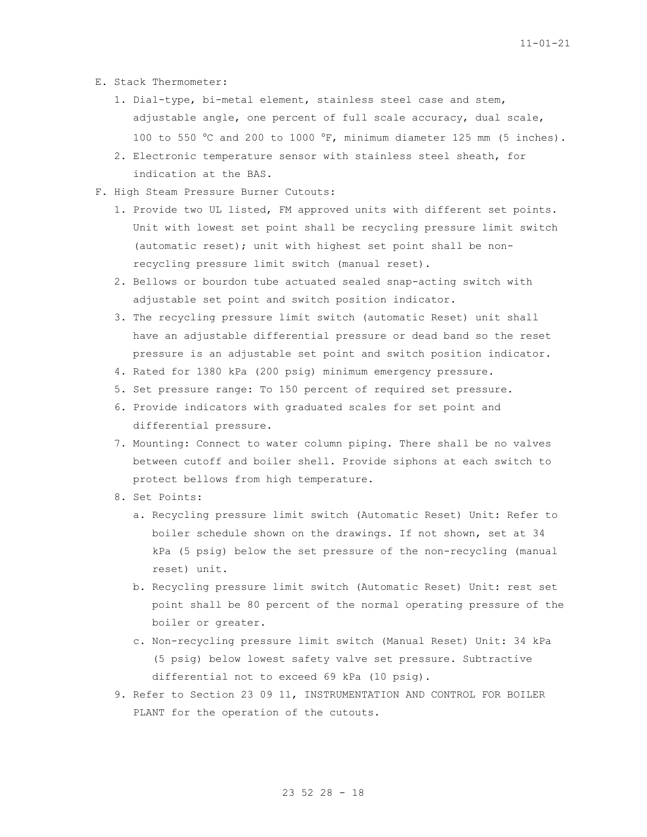- E. Stack Thermometer:
	- 1. Dial-type, bi-metal element, stainless steel case and stem, adjustable angle, one percent of full scale accuracy, dual scale, 100 to 550 °C and 200 to 1000 °F, minimum diameter 125 mm (5 inches).
	- 2. Electronic temperature sensor with stainless steel sheath, for indication at the BAS.
- F. High Steam Pressure Burner Cutouts:
	- 1. Provide two UL listed, FM approved units with different set points. Unit with lowest set point shall be recycling pressure limit switch (automatic reset); unit with highest set point shall be nonrecycling pressure limit switch (manual reset).
	- 2. Bellows or bourdon tube actuated sealed snap-acting switch with adjustable set point and switch position indicator.
	- 3. The recycling pressure limit switch (automatic Reset) unit shall have an adjustable differential pressure or dead band so the reset pressure is an adjustable set point and switch position indicator.
	- 4. Rated for 1380 kPa (200 psig) minimum emergency pressure.
	- 5. Set pressure range: To 150 percent of required set pressure.
	- 6. Provide indicators with graduated scales for set point and differential pressure.
	- 7. Mounting: Connect to water column piping. There shall be no valves between cutoff and boiler shell. Provide siphons at each switch to protect bellows from high temperature.
	- 8. Set Points:
		- a. Recycling pressure limit switch (Automatic Reset) Unit: Refer to boiler schedule shown on the drawings. If not shown, set at 34 kPa (5 psig) below the set pressure of the non-recycling (manual reset) unit.
		- b. Recycling pressure limit switch (Automatic Reset) Unit: rest set point shall be 80 percent of the normal operating pressure of the boiler or greater.
		- c. Non-recycling pressure limit switch (Manual Reset) Unit: 34 kPa (5 psig) below lowest safety valve set pressure. Subtractive differential not to exceed 69 kPa (10 psig).
	- 9. Refer to Section 23 09 11, INSTRUMENTATION AND CONTROL FOR BOILER PLANT for the operation of the cutouts.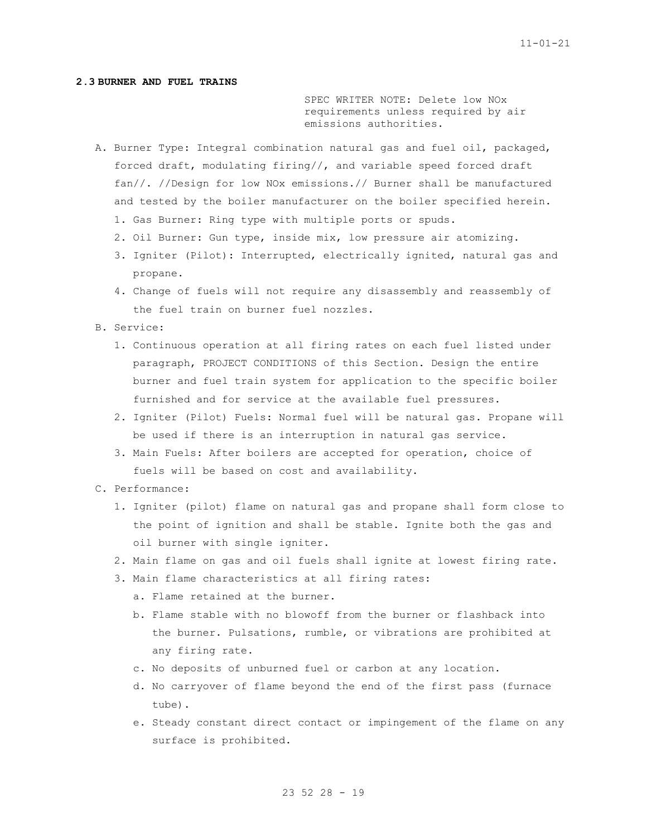## **2.3 BURNER AND FUEL TRAINS**

SPEC WRITER NOTE: Delete low NOx requirements unless required by air emissions authorities.

- A. Burner Type: Integral combination natural gas and fuel oil, packaged, forced draft, modulating firing//, and variable speed forced draft fan//. //Design for low NOx emissions.// Burner shall be manufactured and tested by the boiler manufacturer on the boiler specified herein.
	- 1. Gas Burner: Ring type with multiple ports or spuds.
	- 2. Oil Burner: Gun type, inside mix, low pressure air atomizing.
	- 3. Igniter (Pilot): Interrupted, electrically ignited, natural gas and propane.
	- 4. Change of fuels will not require any disassembly and reassembly of the fuel train on burner fuel nozzles.
- B. Service:
	- 1. Continuous operation at all firing rates on each fuel listed under paragraph, PROJECT CONDITIONS of this Section. Design the entire burner and fuel train system for application to the specific boiler furnished and for service at the available fuel pressures.
	- 2. Igniter (Pilot) Fuels: Normal fuel will be natural gas. Propane will be used if there is an interruption in natural gas service.
	- 3. Main Fuels: After boilers are accepted for operation, choice of fuels will be based on cost and availability.
- C. Performance:
	- 1. Igniter (pilot) flame on natural gas and propane shall form close to the point of ignition and shall be stable. Ignite both the gas and oil burner with single igniter.
	- 2. Main flame on gas and oil fuels shall ignite at lowest firing rate.
	- 3. Main flame characteristics at all firing rates:
		- a. Flame retained at the burner.
		- b. Flame stable with no blowoff from the burner or flashback into the burner. Pulsations, rumble, or vibrations are prohibited at any firing rate.
		- c. No deposits of unburned fuel or carbon at any location.
		- d. No carryover of flame beyond the end of the first pass (furnace tube).
		- e. Steady constant direct contact or impingement of the flame on any surface is prohibited.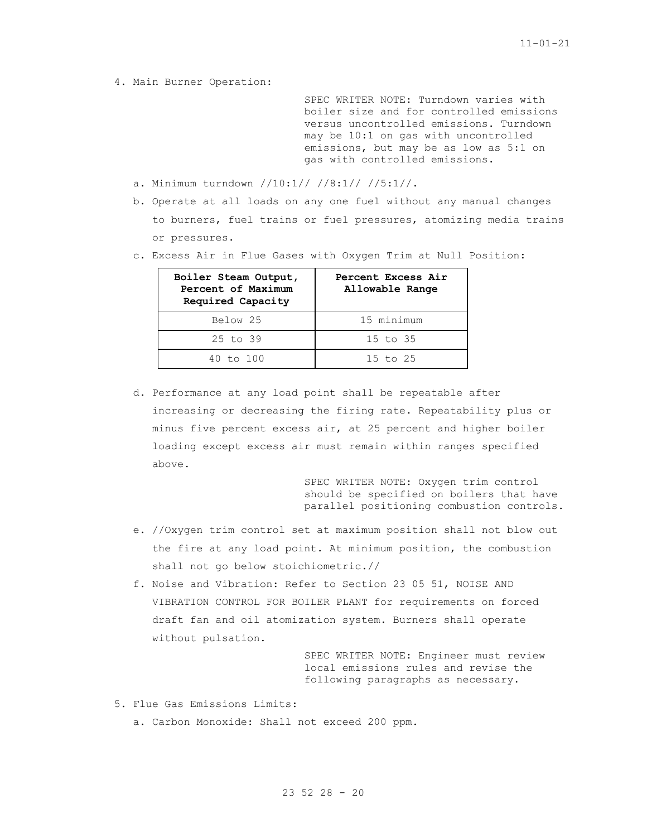4. Main Burner Operation:

SPEC WRITER NOTE: Turndown varies with boiler size and for controlled emissions versus uncontrolled emissions. Turndown may be 10:1 on gas with uncontrolled emissions, but may be as low as 5:1 on gas with controlled emissions.

- a. Minimum turndown //10:1// //8:1// //5:1//.
- b. Operate at all loads on any one fuel without any manual changes to burners, fuel trains or fuel pressures, atomizing media trains or pressures.
- c. Excess Air in Flue Gases with Oxygen Trim at Null Position:

| Boiler Steam Output,<br>Percent of Maximum<br>Required Capacity | Percent Excess Air<br>Allowable Range |
|-----------------------------------------------------------------|---------------------------------------|
| Below 25                                                        | 15 minimum                            |
| $25$ to $39$                                                    | $15$ to $35$                          |
| 40 to 100                                                       | 15 to 25                              |

d. Performance at any load point shall be repeatable after increasing or decreasing the firing rate. Repeatability plus or minus five percent excess air, at 25 percent and higher boiler loading except excess air must remain within ranges specified above.

> SPEC WRITER NOTE: Oxygen trim control should be specified on boilers that have parallel positioning combustion controls.

- e. //Oxygen trim control set at maximum position shall not blow out the fire at any load point. At minimum position, the combustion shall not go below stoichiometric.//
- f. Noise and Vibration: Refer to Section 23 05 51, NOISE AND VIBRATION CONTROL FOR BOILER PLANT for requirements on forced draft fan and oil atomization system. Burners shall operate without pulsation.

SPEC WRITER NOTE: Engineer must review local emissions rules and revise the following paragraphs as necessary.

- 5. Flue Gas Emissions Limits:
	- a. Carbon Monoxide: Shall not exceed 200 ppm.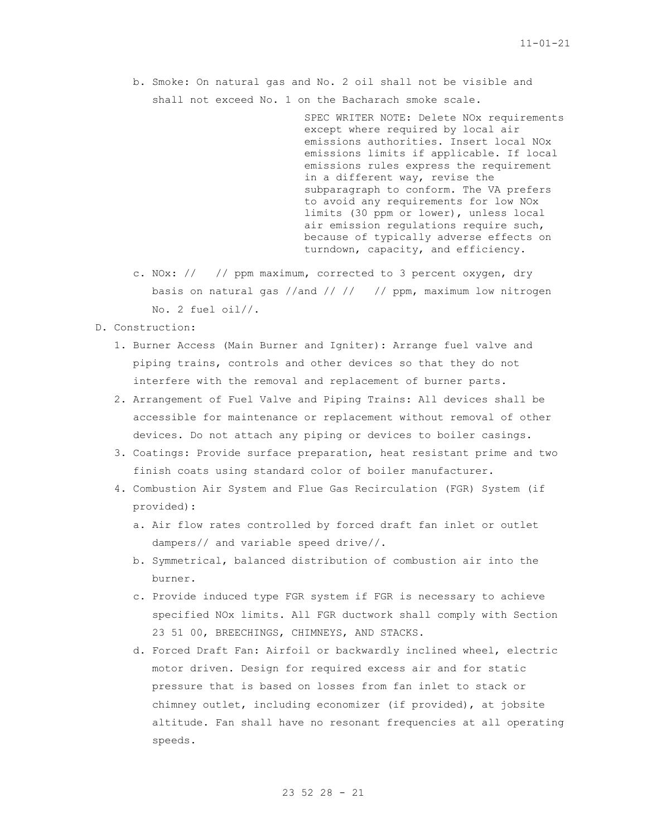b. Smoke: On natural gas and No. 2 oil shall not be visible and shall not exceed No. 1 on the Bacharach smoke scale.

> SPEC WRITER NOTE: Delete NOx requirements except where required by local air emissions authorities. Insert local NOx emissions limits if applicable. If local emissions rules express the requirement in a different way, revise the subparagraph to conform. The VA prefers to avoid any requirements for low NOx limits (30 ppm or lower), unless local air emission regulations require such, because of typically adverse effects on turndown, capacity, and efficiency.

- c. NOx: // // ppm maximum, corrected to 3 percent oxygen, dry basis on natural gas //and // // // ppm, maximum low nitrogen No. 2 fuel oil//.
- D. Construction:
	- 1. Burner Access (Main Burner and Igniter): Arrange fuel valve and piping trains, controls and other devices so that they do not interfere with the removal and replacement of burner parts.
	- 2. Arrangement of Fuel Valve and Piping Trains: All devices shall be accessible for maintenance or replacement without removal of other devices. Do not attach any piping or devices to boiler casings.
	- 3. Coatings: Provide surface preparation, heat resistant prime and two finish coats using standard color of boiler manufacturer.
	- 4. Combustion Air System and Flue Gas Recirculation (FGR) System (if provided):
		- a. Air flow rates controlled by forced draft fan inlet or outlet dampers// and variable speed drive//.
		- b. Symmetrical, balanced distribution of combustion air into the burner.
		- c. Provide induced type FGR system if FGR is necessary to achieve specified NOx limits. All FGR ductwork shall comply with Section 23 51 00, BREECHINGS, CHIMNEYS, AND STACKS.
		- d. Forced Draft Fan: Airfoil or backwardly inclined wheel, electric motor driven. Design for required excess air and for static pressure that is based on losses from fan inlet to stack or chimney outlet, including economizer (if provided), at jobsite altitude. Fan shall have no resonant frequencies at all operating speeds.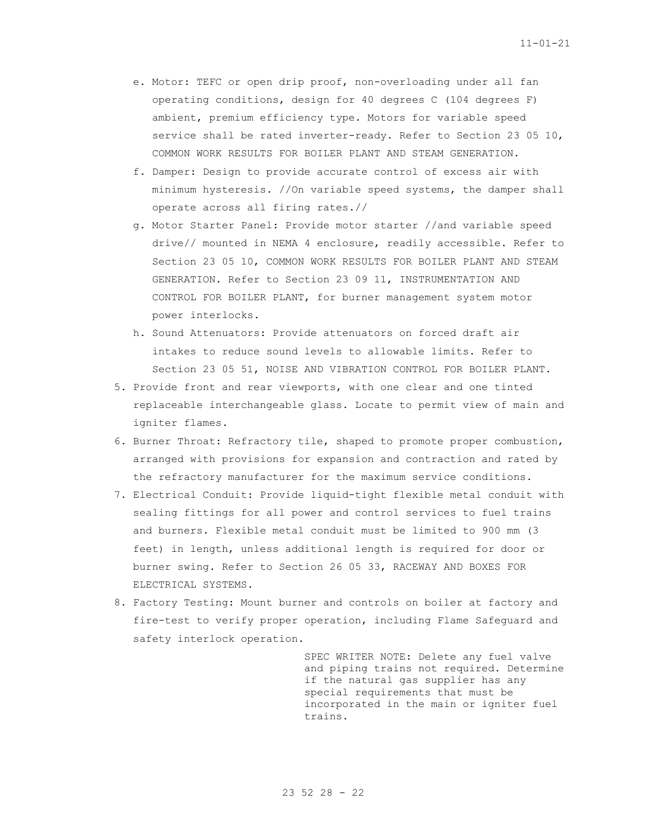- e. Motor: TEFC or open drip proof, non-overloading under all fan operating conditions, design for 40 degrees C (104 degrees F) ambient, premium efficiency type. Motors for variable speed service shall be rated inverter-ready. Refer to Section 23 05 10, COMMON WORK RESULTS FOR BOILER PLANT AND STEAM GENERATION.
- f. Damper: Design to provide accurate control of excess air with minimum hysteresis. //On variable speed systems, the damper shall operate across all firing rates.//
- g. Motor Starter Panel: Provide motor starter //and variable speed drive// mounted in NEMA 4 enclosure, readily accessible. Refer to Section 23 05 10, COMMON WORK RESULTS FOR BOILER PLANT AND STEAM GENERATION. Refer to Section 23 09 11, INSTRUMENTATION AND CONTROL FOR BOILER PLANT, for burner management system motor power interlocks.
- h. Sound Attenuators: Provide attenuators on forced draft air intakes to reduce sound levels to allowable limits. Refer to Section 23 05 51, NOISE AND VIBRATION CONTROL FOR BOILER PLANT.
- 5. Provide front and rear viewports, with one clear and one tinted replaceable interchangeable glass. Locate to permit view of main and igniter flames.
- 6. Burner Throat: Refractory tile, shaped to promote proper combustion, arranged with provisions for expansion and contraction and rated by the refractory manufacturer for the maximum service conditions.
- 7. Electrical Conduit: Provide liquid-tight flexible metal conduit with sealing fittings for all power and control services to fuel trains and burners. Flexible metal conduit must be limited to 900 mm (3 feet) in length, unless additional length is required for door or burner swing. Refer to Section 26 05 33, RACEWAY AND BOXES FOR ELECTRICAL SYSTEMS.
- 8. Factory Testing: Mount burner and controls on boiler at factory and fire-test to verify proper operation, including Flame Safeguard and safety interlock operation.

SPEC WRITER NOTE: Delete any fuel valve and piping trains not required. Determine if the natural gas supplier has any special requirements that must be incorporated in the main or igniter fuel trains.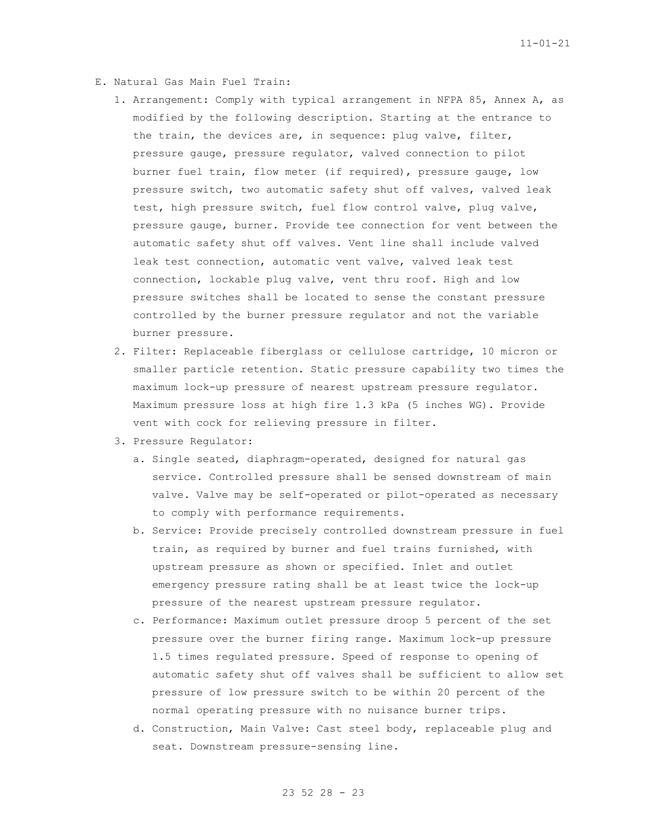- E. Natural Gas Main Fuel Train:
	- 1. Arrangement: Comply with typical arrangement in NFPA 85, Annex A, as modified by the following description. Starting at the entrance to the train, the devices are, in sequence: plug valve, filter, pressure gauge, pressure regulator, valved connection to pilot burner fuel train, flow meter (if required), pressure gauge, low pressure switch, two automatic safety shut off valves, valved leak test, high pressure switch, fuel flow control valve, plug valve, pressure gauge, burner. Provide tee connection for vent between the automatic safety shut off valves. Vent line shall include valved leak test connection, automatic vent valve, valved leak test connection, lockable plug valve, vent thru roof. High and low pressure switches shall be located to sense the constant pressure controlled by the burner pressure regulator and not the variable burner pressure.
	- 2. Filter: Replaceable fiberglass or cellulose cartridge, 10 micron or smaller particle retention. Static pressure capability two times the maximum lock-up pressure of nearest upstream pressure regulator. Maximum pressure loss at high fire 1.3 kPa (5 inches WG). Provide vent with cock for relieving pressure in filter.
	- 3. Pressure Regulator:
		- a. Single seated, diaphragm-operated, designed for natural gas service. Controlled pressure shall be sensed downstream of main valve. Valve may be self-operated or pilot-operated as necessary to comply with performance requirements.
		- b. Service: Provide precisely controlled downstream pressure in fuel train, as required by burner and fuel trains furnished, with upstream pressure as shown or specified. Inlet and outlet emergency pressure rating shall be at least twice the lock-up pressure of the nearest upstream pressure regulator.
		- c. Performance: Maximum outlet pressure droop 5 percent of the set pressure over the burner firing range. Maximum lock-up pressure 1.5 times regulated pressure. Speed of response to opening of automatic safety shut off valves shall be sufficient to allow set pressure of low pressure switch to be within 20 percent of the normal operating pressure with no nuisance burner trips.
		- d. Construction, Main Valve: Cast steel body, replaceable plug and seat. Downstream pressure-sensing line.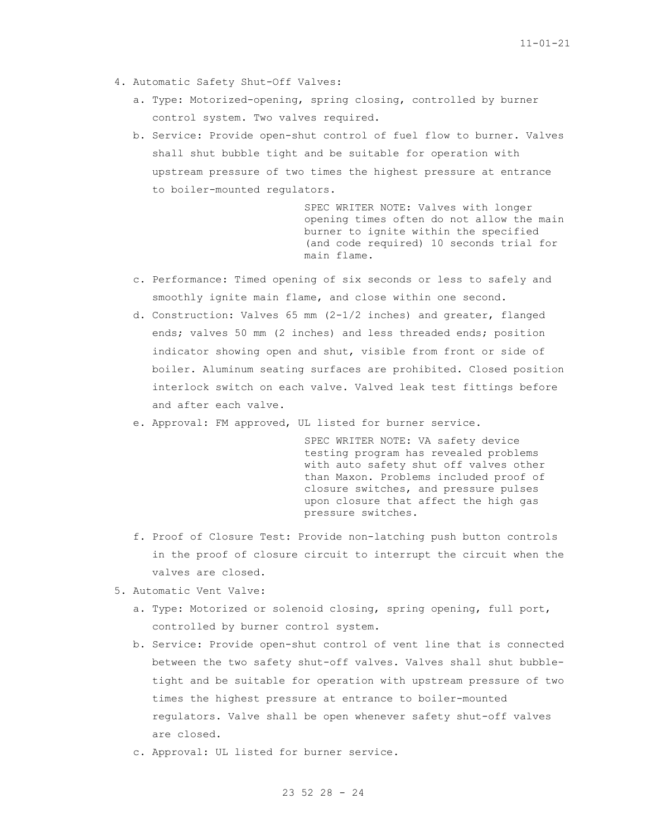- 4. Automatic Safety Shut-Off Valves:
	- a. Type: Motorized-opening, spring closing, controlled by burner control system. Two valves required.
	- b. Service: Provide open-shut control of fuel flow to burner. Valves shall shut bubble tight and be suitable for operation with upstream pressure of two times the highest pressure at entrance to boiler-mounted regulators.

SPEC WRITER NOTE: Valves with longer opening times often do not allow the main burner to ignite within the specified (and code required) 10 seconds trial for main flame.

- c. Performance: Timed opening of six seconds or less to safely and smoothly ignite main flame, and close within one second.
- d. Construction: Valves 65 mm (2-1/2 inches) and greater, flanged ends; valves 50 mm (2 inches) and less threaded ends; position indicator showing open and shut, visible from front or side of boiler. Aluminum seating surfaces are prohibited. Closed position interlock switch on each valve. Valved leak test fittings before and after each valve.
- e. Approval: FM approved, UL listed for burner service.

SPEC WRITER NOTE: VA safety device testing program has revealed problems with auto safety shut off valves other than Maxon. Problems included proof of closure switches, and pressure pulses upon closure that affect the high gas pressure switches.

- f. Proof of Closure Test: Provide non-latching push button controls in the proof of closure circuit to interrupt the circuit when the valves are closed.
- 5. Automatic Vent Valve:
	- a. Type: Motorized or solenoid closing, spring opening, full port, controlled by burner control system.
	- b. Service: Provide open-shut control of vent line that is connected between the two safety shut-off valves. Valves shall shut bubbletight and be suitable for operation with upstream pressure of two times the highest pressure at entrance to boiler-mounted regulators. Valve shall be open whenever safety shut-off valves are closed.
	- c. Approval: UL listed for burner service.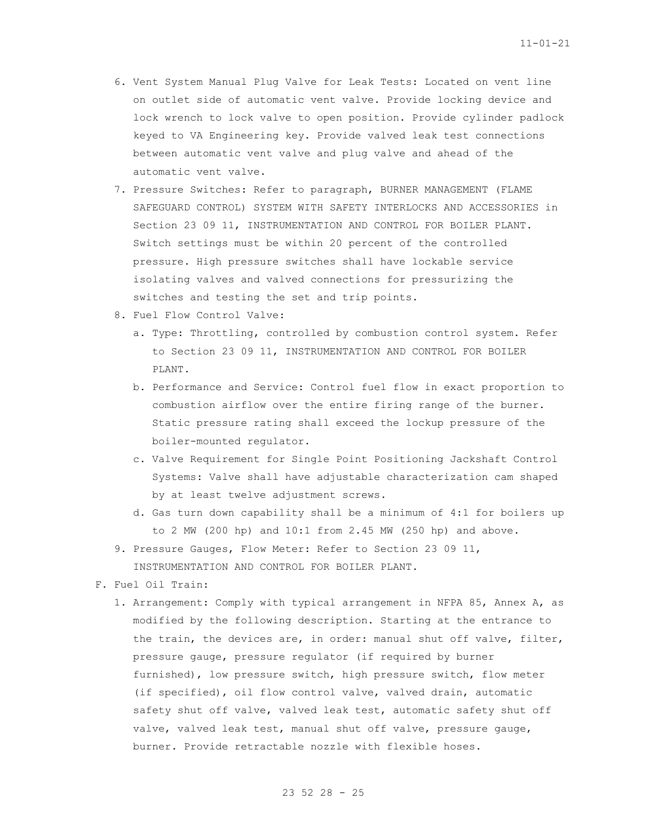- 6. Vent System Manual Plug Valve for Leak Tests: Located on vent line on outlet side of automatic vent valve. Provide locking device and lock wrench to lock valve to open position. Provide cylinder padlock keyed to VA Engineering key. Provide valved leak test connections between automatic vent valve and plug valve and ahead of the automatic vent valve.
- 7. Pressure Switches: Refer to paragraph, BURNER MANAGEMENT (FLAME SAFEGUARD CONTROL) SYSTEM WITH SAFETY INTERLOCKS AND ACCESSORIES in Section 23 09 11, INSTRUMENTATION AND CONTROL FOR BOILER PLANT. Switch settings must be within 20 percent of the controlled pressure. High pressure switches shall have lockable service isolating valves and valved connections for pressurizing the switches and testing the set and trip points.
- 8. Fuel Flow Control Valve:
	- a. Type: Throttling, controlled by combustion control system. Refer to Section 23 09 11, INSTRUMENTATION AND CONTROL FOR BOILER PLANT.
	- b. Performance and Service: Control fuel flow in exact proportion to combustion airflow over the entire firing range of the burner. Static pressure rating shall exceed the lockup pressure of the boiler-mounted regulator.
	- c. Valve Requirement for Single Point Positioning Jackshaft Control Systems: Valve shall have adjustable characterization cam shaped by at least twelve adjustment screws.
	- d. Gas turn down capability shall be a minimum of 4:1 for boilers up to 2 MW (200 hp) and 10:1 from 2.45 MW (250 hp) and above.
- 9. Pressure Gauges, Flow Meter: Refer to Section 23 09 11, INSTRUMENTATION AND CONTROL FOR BOILER PLANT.
- F. Fuel Oil Train:
	- 1. Arrangement: Comply with typical arrangement in NFPA 85, Annex A, as modified by the following description. Starting at the entrance to the train, the devices are, in order: manual shut off valve, filter, pressure gauge, pressure regulator (if required by burner furnished), low pressure switch, high pressure switch, flow meter (if specified), oil flow control valve, valved drain, automatic safety shut off valve, valved leak test, automatic safety shut off valve, valved leak test, manual shut off valve, pressure gauge, burner. Provide retractable nozzle with flexible hoses.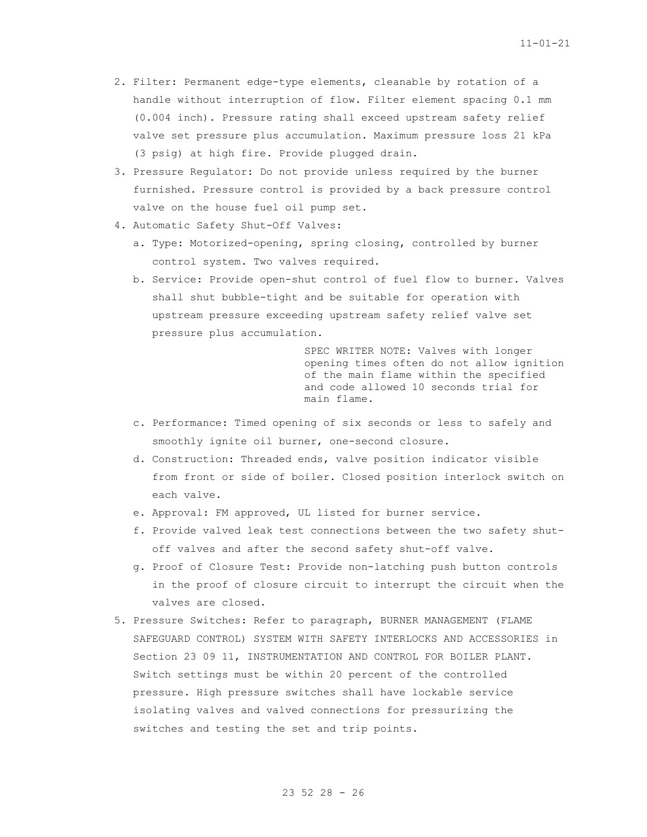- 2. Filter: Permanent edge-type elements, cleanable by rotation of a handle without interruption of flow. Filter element spacing 0.1 mm (0.004 inch). Pressure rating shall exceed upstream safety relief valve set pressure plus accumulation. Maximum pressure loss 21 kPa (3 psig) at high fire. Provide plugged drain.
- 3. Pressure Regulator: Do not provide unless required by the burner furnished. Pressure control is provided by a back pressure control valve on the house fuel oil pump set.
- 4. Automatic Safety Shut-Off Valves:
	- a. Type: Motorized-opening, spring closing, controlled by burner control system. Two valves required.
	- b. Service: Provide open-shut control of fuel flow to burner. Valves shall shut bubble-tight and be suitable for operation with upstream pressure exceeding upstream safety relief valve set pressure plus accumulation.

SPEC WRITER NOTE: Valves with longer opening times often do not allow ignition of the main flame within the specified and code allowed 10 seconds trial for main flame.

- c. Performance: Timed opening of six seconds or less to safely and smoothly ignite oil burner, one-second closure.
- d. Construction: Threaded ends, valve position indicator visible from front or side of boiler. Closed position interlock switch on each valve.
- e. Approval: FM approved, UL listed for burner service.
- f. Provide valved leak test connections between the two safety shutoff valves and after the second safety shut-off valve.
- g. Proof of Closure Test: Provide non-latching push button controls in the proof of closure circuit to interrupt the circuit when the valves are closed.
- 5. Pressure Switches: Refer to paragraph, BURNER MANAGEMENT (FLAME SAFEGUARD CONTROL) SYSTEM WITH SAFETY INTERLOCKS AND ACCESSORIES in Section 23 09 11, INSTRUMENTATION AND CONTROL FOR BOILER PLANT. Switch settings must be within 20 percent of the controlled pressure. High pressure switches shall have lockable service isolating valves and valved connections for pressurizing the switches and testing the set and trip points.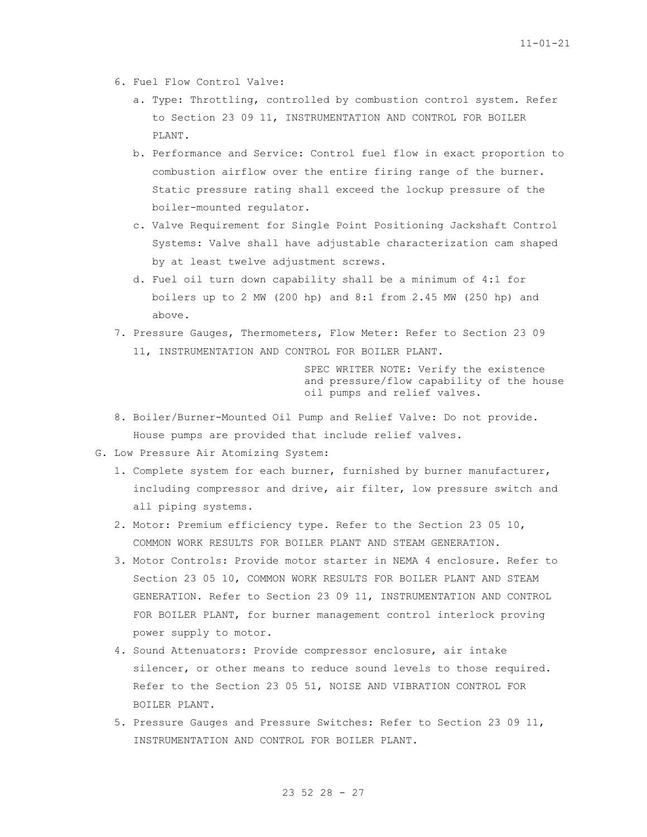- 6. Fuel Flow Control Valve:
	- a. Type: Throttling, controlled by combustion control system. Refer to Section 23 09 11, INSTRUMENTATION AND CONTROL FOR BOILER PLANT.
	- b. Performance and Service: Control fuel flow in exact proportion to combustion airflow over the entire firing range of the burner. Static pressure rating shall exceed the lockup pressure of the boiler-mounted regulator.
	- c. Valve Requirement for Single Point Positioning Jackshaft Control Systems: Valve shall have adjustable characterization cam shaped by at least twelve adjustment screws.
	- d. Fuel oil turn down capability shall be a minimum of 4:1 for boilers up to 2 MW (200 hp) and 8:1 from 2.45 MW (250 hp) and above.
- 7. Pressure Gauges, Thermometers, Flow Meter: Refer to Section 23 09 11, INSTRUMENTATION AND CONTROL FOR BOILER PLANT.

SPEC WRITER NOTE: Verify the existence and pressure/flow capability of the house oil pumps and relief valves.

- 8. Boiler/Burner-Mounted Oil Pump and Relief Valve: Do not provide. House pumps are provided that include relief valves.
- G. Low Pressure Air Atomizing System:
	- 1. Complete system for each burner, furnished by burner manufacturer, including compressor and drive, air filter, low pressure switch and all piping systems.
	- 2. Motor: Premium efficiency type. Refer to the Section 23 05 10, COMMON WORK RESULTS FOR BOILER PLANT AND STEAM GENERATION.
	- 3. Motor Controls: Provide motor starter in NEMA 4 enclosure. Refer to Section 23 05 10, COMMON WORK RESULTS FOR BOILER PLANT AND STEAM GENERATION. Refer to Section 23 09 11, INSTRUMENTATION AND CONTROL FOR BOILER PLANT, for burner management control interlock proving power supply to motor.
	- 4. Sound Attenuators: Provide compressor enclosure, air intake silencer, or other means to reduce sound levels to those required. Refer to the Section 23 05 51, NOISE AND VIBRATION CONTROL FOR BOILER PLANT.
	- 5. Pressure Gauges and Pressure Switches: Refer to Section 23 09 11, INSTRUMENTATION AND CONTROL FOR BOILER PLANT.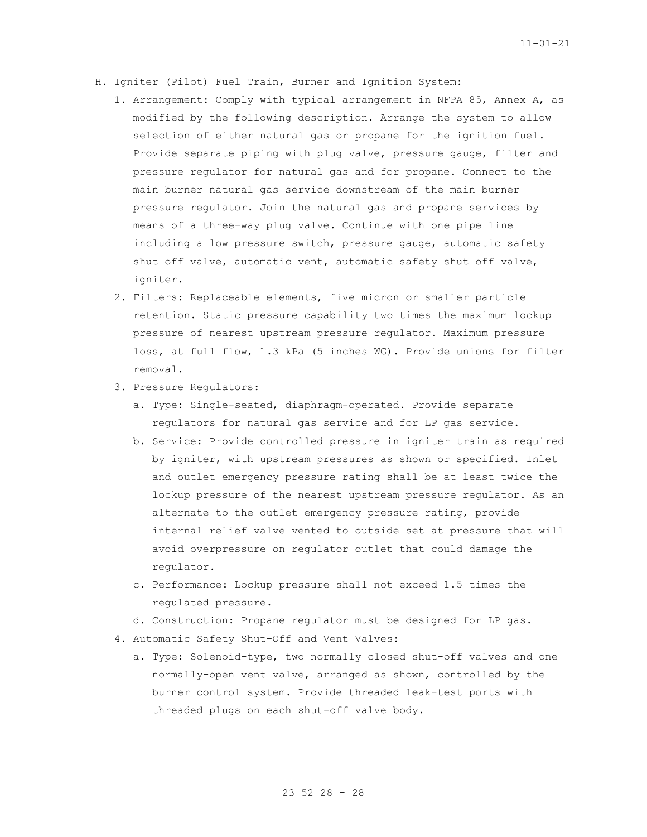- H. Igniter (Pilot) Fuel Train, Burner and Ignition System:
	- 1. Arrangement: Comply with typical arrangement in NFPA 85, Annex A, as modified by the following description. Arrange the system to allow selection of either natural gas or propane for the ignition fuel. Provide separate piping with plug valve, pressure gauge, filter and pressure regulator for natural gas and for propane. Connect to the main burner natural gas service downstream of the main burner pressure regulator. Join the natural gas and propane services by means of a three-way plug valve. Continue with one pipe line including a low pressure switch, pressure gauge, automatic safety shut off valve, automatic vent, automatic safety shut off valve, igniter.
	- 2. Filters: Replaceable elements, five micron or smaller particle retention. Static pressure capability two times the maximum lockup pressure of nearest upstream pressure regulator. Maximum pressure loss, at full flow, 1.3 kPa (5 inches WG). Provide unions for filter removal.
	- 3. Pressure Regulators:
		- a. Type: Single-seated, diaphragm-operated. Provide separate regulators for natural gas service and for LP gas service.
		- b. Service: Provide controlled pressure in igniter train as required by igniter, with upstream pressures as shown or specified. Inlet and outlet emergency pressure rating shall be at least twice the lockup pressure of the nearest upstream pressure regulator. As an alternate to the outlet emergency pressure rating, provide internal relief valve vented to outside set at pressure that will avoid overpressure on regulator outlet that could damage the regulator.
		- c. Performance: Lockup pressure shall not exceed 1.5 times the regulated pressure.
		- d. Construction: Propane regulator must be designed for LP gas.
	- 4. Automatic Safety Shut-Off and Vent Valves:
		- a. Type: Solenoid-type, two normally closed shut-off valves and one normally-open vent valve, arranged as shown, controlled by the burner control system. Provide threaded leak-test ports with threaded plugs on each shut-off valve body.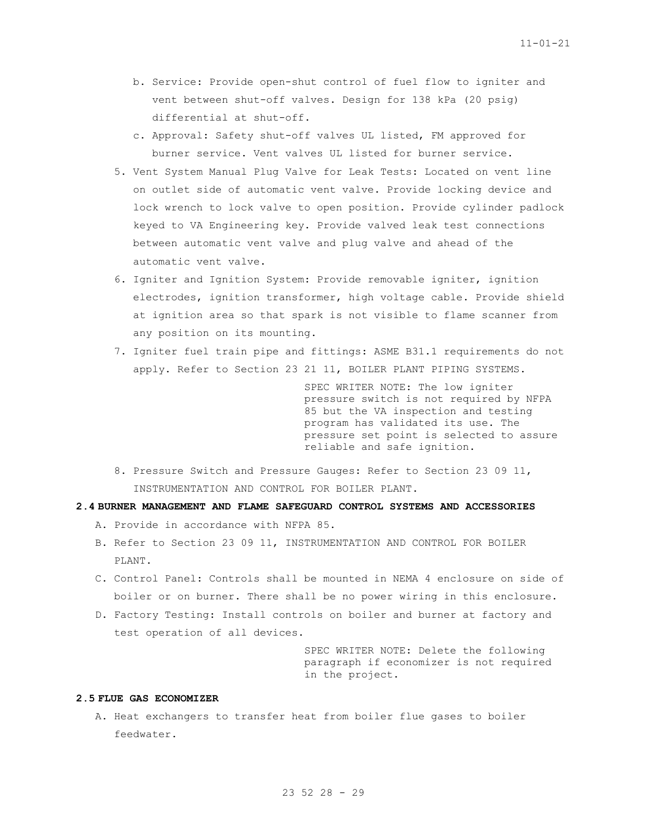- b. Service: Provide open-shut control of fuel flow to igniter and vent between shut-off valves. Design for 138 kPa (20 psig) differential at shut-off.
- c. Approval: Safety shut-off valves UL listed, FM approved for burner service. Vent valves UL listed for burner service.
- 5. Vent System Manual Plug Valve for Leak Tests: Located on vent line on outlet side of automatic vent valve. Provide locking device and lock wrench to lock valve to open position. Provide cylinder padlock keyed to VA Engineering key. Provide valved leak test connections between automatic vent valve and plug valve and ahead of the automatic vent valve.
- 6. Igniter and Ignition System: Provide removable igniter, ignition electrodes, ignition transformer, high voltage cable. Provide shield at ignition area so that spark is not visible to flame scanner from any position on its mounting.
- 7. Igniter fuel train pipe and fittings: ASME B31.1 requirements do not apply. Refer to Section 23 21 11, BOILER PLANT PIPING SYSTEMS.

SPEC WRITER NOTE: The low igniter pressure switch is not required by NFPA 85 but the VA inspection and testing program has validated its use. The pressure set point is selected to assure reliable and safe ignition.

8. Pressure Switch and Pressure Gauges: Refer to Section 23 09 11, INSTRUMENTATION AND CONTROL FOR BOILER PLANT.

# **2.4 BURNER MANAGEMENT AND FLAME SAFEGUARD CONTROL SYSTEMS AND ACCESSORIES**

- A. Provide in accordance with NFPA 85.
- B. Refer to Section 23 09 11, INSTRUMENTATION AND CONTROL FOR BOILER PLANT.
- C. Control Panel: Controls shall be mounted in NEMA 4 enclosure on side of boiler or on burner. There shall be no power wiring in this enclosure.
- D. Factory Testing: Install controls on boiler and burner at factory and test operation of all devices.

SPEC WRITER NOTE: Delete the following paragraph if economizer is not required in the project.

## **2.5 FLUE GAS ECONOMIZER**

A. Heat exchangers to transfer heat from boiler flue gases to boiler feedwater.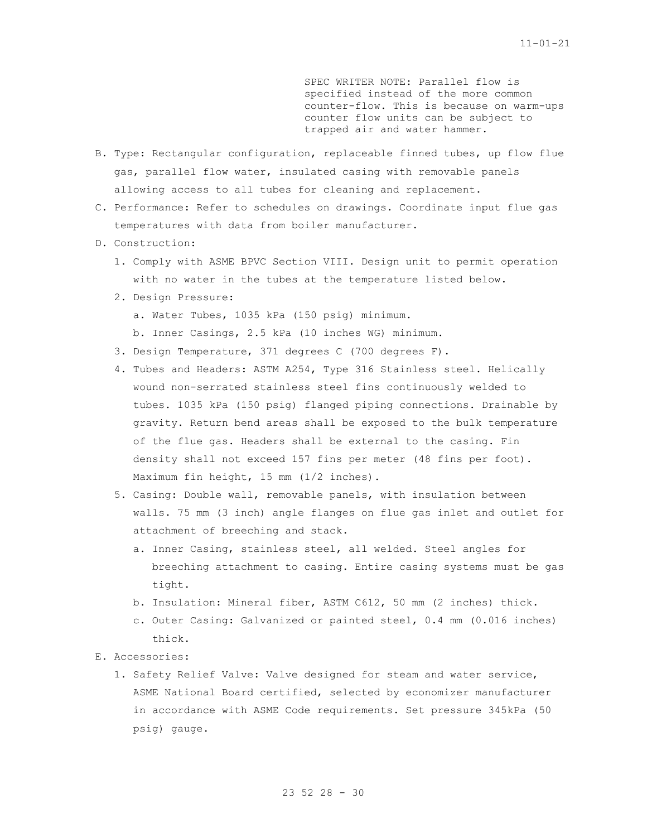SPEC WRITER NOTE: Parallel flow is specified instead of the more common counter-flow. This is because on warm-ups counter flow units can be subject to trapped air and water hammer.

- B. Type: Rectangular configuration, replaceable finned tubes, up flow flue gas, parallel flow water, insulated casing with removable panels allowing access to all tubes for cleaning and replacement.
- C. Performance: Refer to schedules on drawings. Coordinate input flue gas temperatures with data from boiler manufacturer.
- D. Construction:
	- 1. Comply with ASME BPVC Section VIII. Design unit to permit operation with no water in the tubes at the temperature listed below.
	- 2. Design Pressure:
		- a. Water Tubes, 1035 kPa (150 psig) minimum.
		- b. Inner Casings, 2.5 kPa (10 inches WG) minimum.
	- 3. Design Temperature, 371 degrees C (700 degrees F).
	- 4. Tubes and Headers: ASTM A254, Type 316 Stainless steel. Helically wound non-serrated stainless steel fins continuously welded to tubes. 1035 kPa (150 psig) flanged piping connections. Drainable by gravity. Return bend areas shall be exposed to the bulk temperature of the flue gas. Headers shall be external to the casing. Fin density shall not exceed 157 fins per meter (48 fins per foot). Maximum fin height, 15 mm (1/2 inches).
	- 5. Casing: Double wall, removable panels, with insulation between walls. 75 mm (3 inch) angle flanges on flue gas inlet and outlet for attachment of breeching and stack.
		- a. Inner Casing, stainless steel, all welded. Steel angles for breeching attachment to casing. Entire casing systems must be gas tight.
		- b. Insulation: Mineral fiber, ASTM C612, 50 mm (2 inches) thick.
		- c. Outer Casing: Galvanized or painted steel, 0.4 mm (0.016 inches) thick.
- E. Accessories:
	- 1. Safety Relief Valve: Valve designed for steam and water service, ASME National Board certified, selected by economizer manufacturer in accordance with ASME Code requirements. Set pressure 345kPa (50 psig) gauge.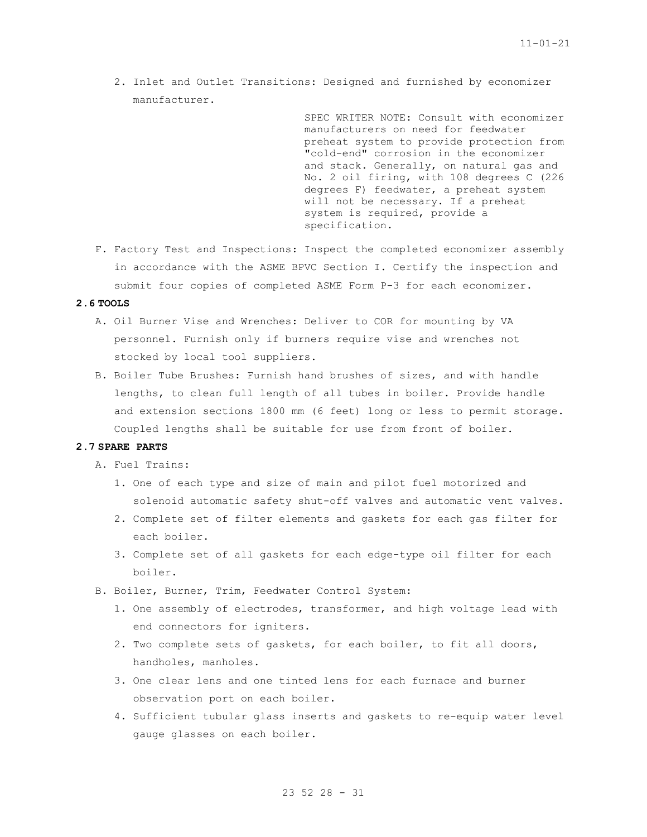2. Inlet and Outlet Transitions: Designed and furnished by economizer manufacturer.

> SPEC WRITER NOTE: Consult with economizer manufacturers on need for feedwater preheat system to provide protection from "cold-end" corrosion in the economizer and stack. Generally, on natural gas and No. 2 oil firing, with 108 degrees C (226 degrees F) feedwater, a preheat system will not be necessary. If a preheat system is required, provide a specification.

F. Factory Test and Inspections: Inspect the completed economizer assembly in accordance with the ASME BPVC Section I. Certify the inspection and submit four copies of completed ASME Form P-3 for each economizer.

## **2.6 TOOLS**

- A. Oil Burner Vise and Wrenches: Deliver to COR for mounting by VA personnel. Furnish only if burners require vise and wrenches not stocked by local tool suppliers.
- B. Boiler Tube Brushes: Furnish hand brushes of sizes, and with handle lengths, to clean full length of all tubes in boiler. Provide handle and extension sections 1800 mm (6 feet) long or less to permit storage. Coupled lengths shall be suitable for use from front of boiler.

#### **2.7 SPARE PARTS**

- A. Fuel Trains:
	- 1. One of each type and size of main and pilot fuel motorized and solenoid automatic safety shut-off valves and automatic vent valves.
	- 2. Complete set of filter elements and gaskets for each gas filter for each boiler.
	- 3. Complete set of all gaskets for each edge-type oil filter for each boiler.
- B. Boiler, Burner, Trim, Feedwater Control System:
	- 1. One assembly of electrodes, transformer, and high voltage lead with end connectors for igniters.
	- 2. Two complete sets of gaskets, for each boiler, to fit all doors, handholes, manholes.
	- 3. One clear lens and one tinted lens for each furnace and burner observation port on each boiler.
	- 4. Sufficient tubular glass inserts and gaskets to re-equip water level gauge glasses on each boiler.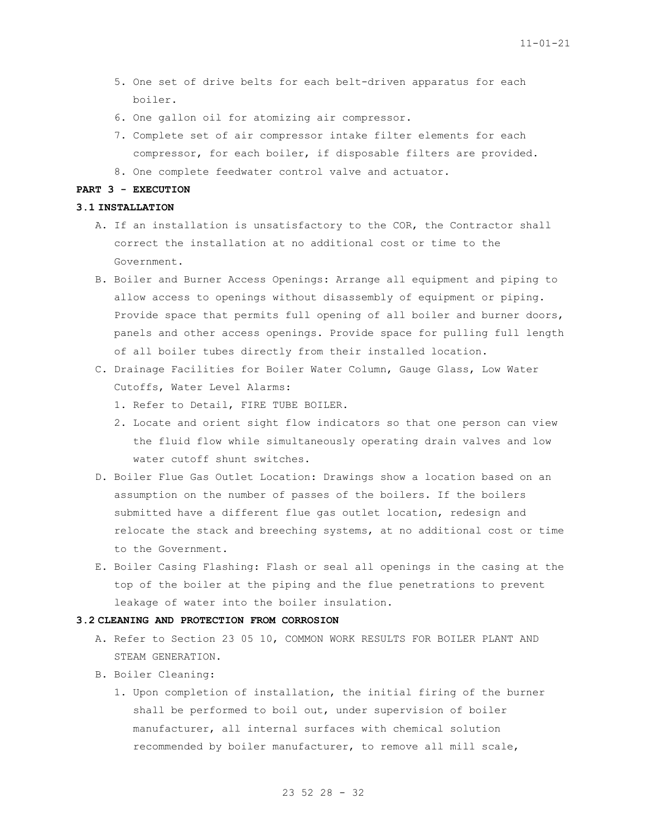- 5. One set of drive belts for each belt-driven apparatus for each boiler.
- 6. One gallon oil for atomizing air compressor.
- 7. Complete set of air compressor intake filter elements for each compressor, for each boiler, if disposable filters are provided.
- 8. One complete feedwater control valve and actuator.

### **PART 3 - EXECUTION**

### **3.1 INSTALLATION**

- A. If an installation is unsatisfactory to the COR, the Contractor shall correct the installation at no additional cost or time to the Government.
- B. Boiler and Burner Access Openings: Arrange all equipment and piping to allow access to openings without disassembly of equipment or piping. Provide space that permits full opening of all boiler and burner doors, panels and other access openings. Provide space for pulling full length of all boiler tubes directly from their installed location.
- C. Drainage Facilities for Boiler Water Column, Gauge Glass, Low Water Cutoffs, Water Level Alarms:
	- 1. Refer to Detail, FIRE TUBE BOILER.
	- 2. Locate and orient sight flow indicators so that one person can view the fluid flow while simultaneously operating drain valves and low water cutoff shunt switches.
- D. Boiler Flue Gas Outlet Location: Drawings show a location based on an assumption on the number of passes of the boilers. If the boilers submitted have a different flue gas outlet location, redesign and relocate the stack and breeching systems, at no additional cost or time to the Government.
- E. Boiler Casing Flashing: Flash or seal all openings in the casing at the top of the boiler at the piping and the flue penetrations to prevent leakage of water into the boiler insulation.

#### **3.2 CLEANING AND PROTECTION FROM CORROSION**

- A. Refer to Section 23 05 10, COMMON WORK RESULTS FOR BOILER PLANT AND STEAM GENERATION.
- B. Boiler Cleaning:
	- 1. Upon completion of installation, the initial firing of the burner shall be performed to boil out, under supervision of boiler manufacturer, all internal surfaces with chemical solution recommended by boiler manufacturer, to remove all mill scale,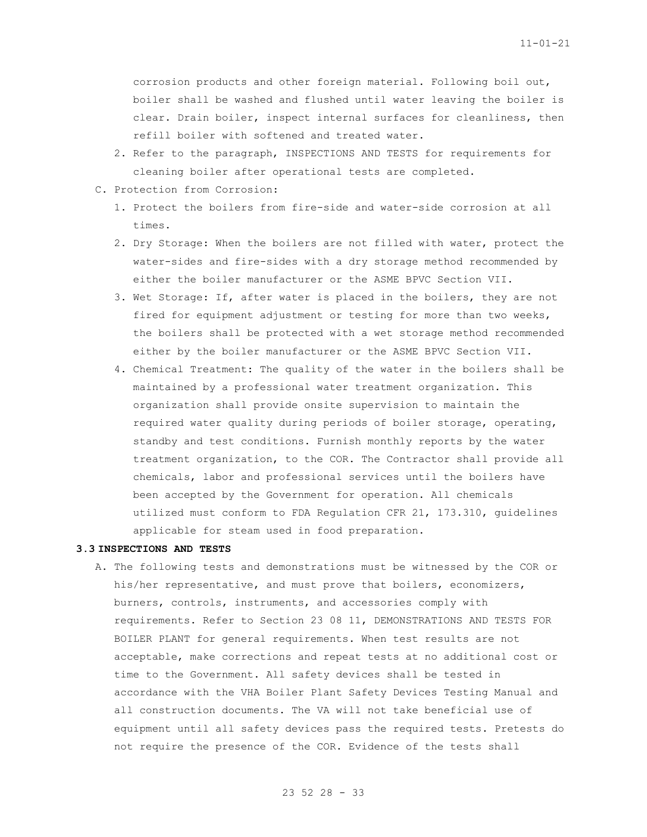corrosion products and other foreign material. Following boil out, boiler shall be washed and flushed until water leaving the boiler is clear. Drain boiler, inspect internal surfaces for cleanliness, then refill boiler with softened and treated water.

- 2. Refer to the paragraph, INSPECTIONS AND TESTS for requirements for cleaning boiler after operational tests are completed.
- C. Protection from Corrosion:
	- 1. Protect the boilers from fire-side and water-side corrosion at all times.
	- 2. Dry Storage: When the boilers are not filled with water, protect the water-sides and fire-sides with a dry storage method recommended by either the boiler manufacturer or the ASME BPVC Section VII.
	- 3. Wet Storage: If, after water is placed in the boilers, they are not fired for equipment adjustment or testing for more than two weeks, the boilers shall be protected with a wet storage method recommended either by the boiler manufacturer or the ASME BPVC Section VII.
	- 4. Chemical Treatment: The quality of the water in the boilers shall be maintained by a professional water treatment organization. This organization shall provide onsite supervision to maintain the required water quality during periods of boiler storage, operating, standby and test conditions. Furnish monthly reports by the water treatment organization, to the COR. The Contractor shall provide all chemicals, labor and professional services until the boilers have been accepted by the Government for operation. All chemicals utilized must conform to FDA Regulation CFR 21, 173.310, guidelines applicable for steam used in food preparation.

#### **3.3 INSPECTIONS AND TESTS**

A. The following tests and demonstrations must be witnessed by the COR or his/her representative, and must prove that boilers, economizers, burners, controls, instruments, and accessories comply with requirements. Refer to Section 23 08 11, DEMONSTRATIONS AND TESTS FOR BOILER PLANT for general requirements. When test results are not acceptable, make corrections and repeat tests at no additional cost or time to the Government. All safety devices shall be tested in accordance with the VHA Boiler Plant Safety Devices Testing Manual and all construction documents. The VA will not take beneficial use of equipment until all safety devices pass the required tests. Pretests do not require the presence of the COR. Evidence of the tests shall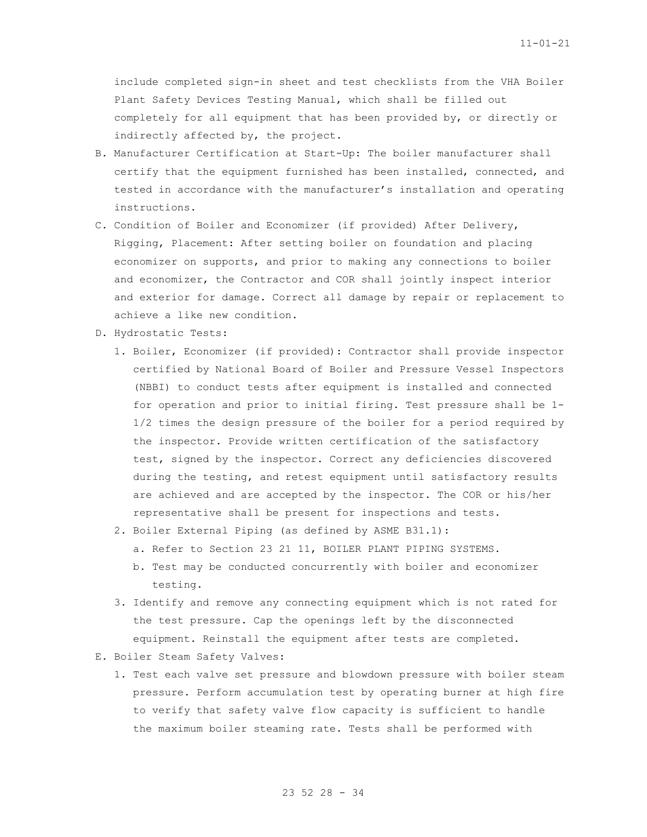include completed sign-in sheet and test checklists from the VHA Boiler Plant Safety Devices Testing Manual, which shall be filled out completely for all equipment that has been provided by, or directly or indirectly affected by, the project.

- B. Manufacturer Certification at Start-Up: The boiler manufacturer shall certify that the equipment furnished has been installed, connected, and tested in accordance with the manufacturer's installation and operating instructions.
- C. Condition of Boiler and Economizer (if provided) After Delivery, Rigging, Placement: After setting boiler on foundation and placing economizer on supports, and prior to making any connections to boiler and economizer, the Contractor and COR shall jointly inspect interior and exterior for damage. Correct all damage by repair or replacement to achieve a like new condition.
- D. Hydrostatic Tests:
	- 1. Boiler, Economizer (if provided): Contractor shall provide inspector certified by National Board of Boiler and Pressure Vessel Inspectors (NBBI) to conduct tests after equipment is installed and connected for operation and prior to initial firing. Test pressure shall be 1- 1/2 times the design pressure of the boiler for a period required by the inspector. Provide written certification of the satisfactory test, signed by the inspector. Correct any deficiencies discovered during the testing, and retest equipment until satisfactory results are achieved and are accepted by the inspector. The COR or his/her representative shall be present for inspections and tests.
	- 2. Boiler External Piping (as defined by ASME B31.1):
		- a. Refer to Section 23 21 11, BOILER PLANT PIPING SYSTEMS.
		- b. Test may be conducted concurrently with boiler and economizer testing.
	- 3. Identify and remove any connecting equipment which is not rated for the test pressure. Cap the openings left by the disconnected equipment. Reinstall the equipment after tests are completed.
- E. Boiler Steam Safety Valves:
	- 1. Test each valve set pressure and blowdown pressure with boiler steam pressure. Perform accumulation test by operating burner at high fire to verify that safety valve flow capacity is sufficient to handle the maximum boiler steaming rate. Tests shall be performed with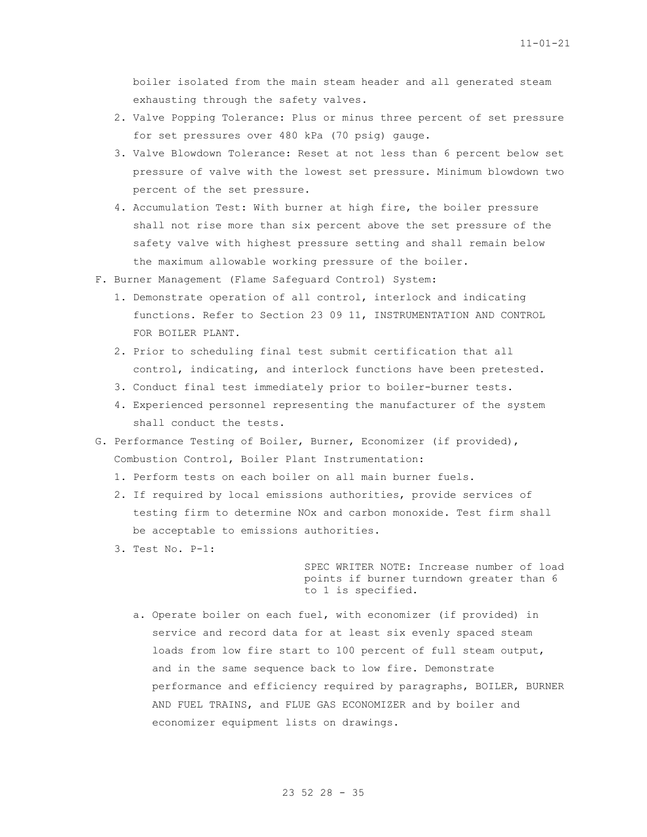boiler isolated from the main steam header and all generated steam exhausting through the safety valves.

- 2. Valve Popping Tolerance: Plus or minus three percent of set pressure for set pressures over 480 kPa (70 psig) gauge.
- 3. Valve Blowdown Tolerance: Reset at not less than 6 percent below set pressure of valve with the lowest set pressure. Minimum blowdown two percent of the set pressure.
- 4. Accumulation Test: With burner at high fire, the boiler pressure shall not rise more than six percent above the set pressure of the safety valve with highest pressure setting and shall remain below the maximum allowable working pressure of the boiler.
- F. Burner Management (Flame Safeguard Control) System:
	- 1. Demonstrate operation of all control, interlock and indicating functions. Refer to Section 23 09 11, INSTRUMENTATION AND CONTROL FOR BOILER PLANT.
	- 2. Prior to scheduling final test submit certification that all control, indicating, and interlock functions have been pretested.
	- 3. Conduct final test immediately prior to boiler-burner tests.
	- 4. Experienced personnel representing the manufacturer of the system shall conduct the tests.
- G. Performance Testing of Boiler, Burner, Economizer (if provided), Combustion Control, Boiler Plant Instrumentation:
	- 1. Perform tests on each boiler on all main burner fuels.
	- 2. If required by local emissions authorities, provide services of testing firm to determine NOx and carbon monoxide. Test firm shall be acceptable to emissions authorities.
	- 3. Test No. P-1:

SPEC WRITER NOTE: Increase number of load points if burner turndown greater than 6 to 1 is specified.

a. Operate boiler on each fuel, with economizer (if provided) in service and record data for at least six evenly spaced steam loads from low fire start to 100 percent of full steam output, and in the same sequence back to low fire. Demonstrate performance and efficiency required by paragraphs, BOILER, BURNER AND FUEL TRAINS, and FLUE GAS ECONOMIZER and by boiler and economizer equipment lists on drawings.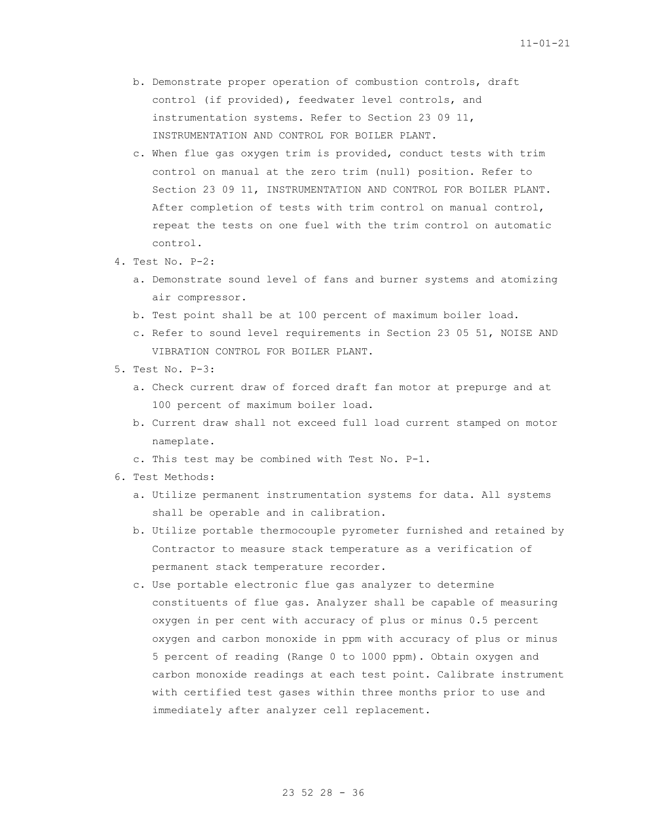- b. Demonstrate proper operation of combustion controls, draft control (if provided), feedwater level controls, and instrumentation systems. Refer to Section 23 09 11, INSTRUMENTATION AND CONTROL FOR BOILER PLANT.
- c. When flue gas oxygen trim is provided, conduct tests with trim control on manual at the zero trim (null) position. Refer to Section 23 09 11, INSTRUMENTATION AND CONTROL FOR BOILER PLANT. After completion of tests with trim control on manual control, repeat the tests on one fuel with the trim control on automatic control.
- 4. Test No. P-2:
	- a. Demonstrate sound level of fans and burner systems and atomizing air compressor.
	- b. Test point shall be at 100 percent of maximum boiler load.
	- c. Refer to sound level requirements in Section 23 05 51, NOISE AND VIBRATION CONTROL FOR BOILER PLANT.
- 5. Test No. P-3:
	- a. Check current draw of forced draft fan motor at prepurge and at 100 percent of maximum boiler load.
	- b. Current draw shall not exceed full load current stamped on motor nameplate.
	- c. This test may be combined with Test No. P-1.
- 6. Test Methods:
	- a. Utilize permanent instrumentation systems for data. All systems shall be operable and in calibration.
	- b. Utilize portable thermocouple pyrometer furnished and retained by Contractor to measure stack temperature as a verification of permanent stack temperature recorder.
	- c. Use portable electronic flue gas analyzer to determine constituents of flue gas. Analyzer shall be capable of measuring oxygen in per cent with accuracy of plus or minus 0.5 percent oxygen and carbon monoxide in ppm with accuracy of plus or minus 5 percent of reading (Range 0 to l000 ppm). Obtain oxygen and carbon monoxide readings at each test point. Calibrate instrument with certified test gases within three months prior to use and immediately after analyzer cell replacement.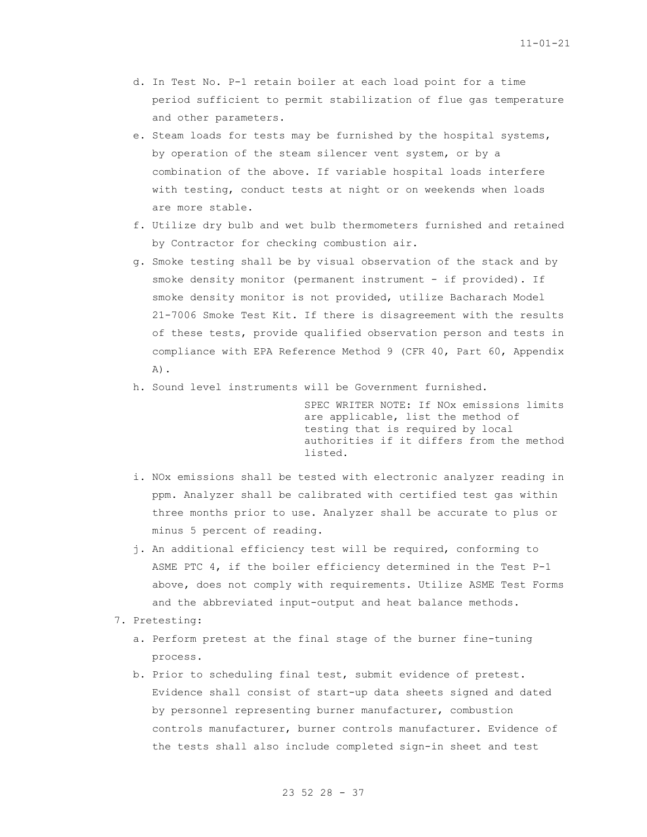- d. In Test No. P-1 retain boiler at each load point for a time period sufficient to permit stabilization of flue gas temperature and other parameters.
- e. Steam loads for tests may be furnished by the hospital systems, by operation of the steam silencer vent system, or by a combination of the above. If variable hospital loads interfere with testing, conduct tests at night or on weekends when loads are more stable.
- f. Utilize dry bulb and wet bulb thermometers furnished and retained by Contractor for checking combustion air.
- g. Smoke testing shall be by visual observation of the stack and by smoke density monitor (permanent instrument - if provided). If smoke density monitor is not provided, utilize Bacharach Model 21-7006 Smoke Test Kit. If there is disagreement with the results of these tests, provide qualified observation person and tests in compliance with EPA Reference Method 9 (CFR 40, Part 60, Appendix  $A)$ .
- h. Sound level instruments will be Government furnished.

SPEC WRITER NOTE: If NOx emissions limits are applicable, list the method of testing that is required by local authorities if it differs from the method listed.

- i. NOx emissions shall be tested with electronic analyzer reading in ppm. Analyzer shall be calibrated with certified test gas within three months prior to use. Analyzer shall be accurate to plus or minus 5 percent of reading.
- j. An additional efficiency test will be required, conforming to ASME PTC 4, if the boiler efficiency determined in the Test P-1 above, does not comply with requirements. Utilize ASME Test Forms and the abbreviated input-output and heat balance methods.
- 7. Pretesting:
	- a. Perform pretest at the final stage of the burner fine-tuning process.
	- b. Prior to scheduling final test, submit evidence of pretest. Evidence shall consist of start-up data sheets signed and dated by personnel representing burner manufacturer, combustion controls manufacturer, burner controls manufacturer. Evidence of the tests shall also include completed sign-in sheet and test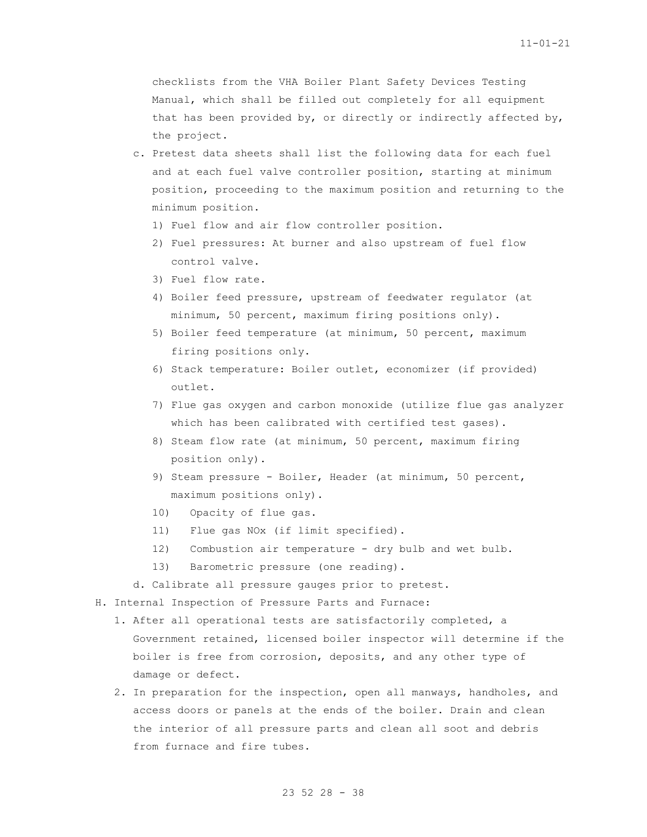checklists from the VHA Boiler Plant Safety Devices Testing Manual, which shall be filled out completely for all equipment that has been provided by, or directly or indirectly affected by, the project.

- c. Pretest data sheets shall list the following data for each fuel and at each fuel valve controller position, starting at minimum position, proceeding to the maximum position and returning to the minimum position.
	- 1) Fuel flow and air flow controller position.
	- 2) Fuel pressures: At burner and also upstream of fuel flow control valve.
	- 3) Fuel flow rate.
	- 4) Boiler feed pressure, upstream of feedwater regulator (at minimum, 50 percent, maximum firing positions only).
	- 5) Boiler feed temperature (at minimum, 50 percent, maximum firing positions only.
	- 6) Stack temperature: Boiler outlet, economizer (if provided) outlet.
	- 7) Flue gas oxygen and carbon monoxide (utilize flue gas analyzer which has been calibrated with certified test gases).
	- 8) Steam flow rate (at minimum, 50 percent, maximum firing position only).
	- 9) Steam pressure Boiler, Header (at minimum, 50 percent, maximum positions only).
	- 10) Opacity of flue gas.
	- 11) Flue gas NOx (if limit specified).
	- 12) Combustion air temperature dry bulb and wet bulb.
	- 13) Barometric pressure (one reading).
- d. Calibrate all pressure gauges prior to pretest.

H. Internal Inspection of Pressure Parts and Furnace:

- 1. After all operational tests are satisfactorily completed, a Government retained, licensed boiler inspector will determine if the boiler is free from corrosion, deposits, and any other type of damage or defect.
- 2. In preparation for the inspection, open all manways, handholes, and access doors or panels at the ends of the boiler. Drain and clean the interior of all pressure parts and clean all soot and debris from furnace and fire tubes.